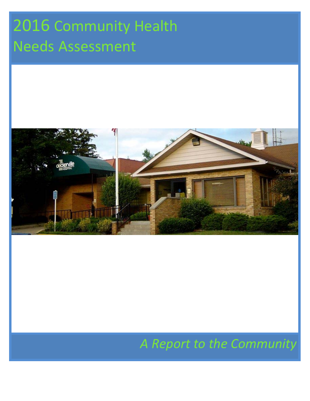# 2016 Community Health Needs Assessment



# *A Report to the Community*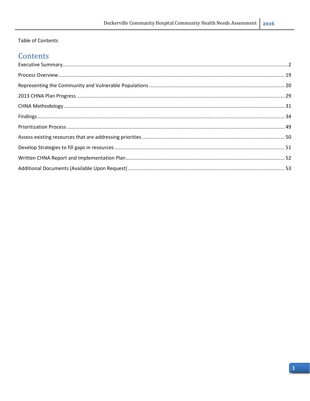# Table of Contents

# Contents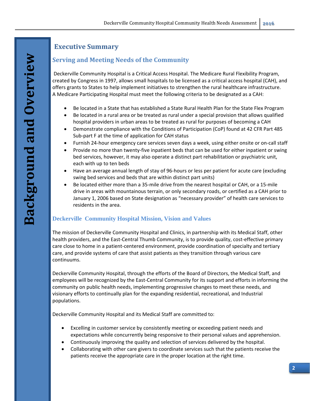# **Executive Summary**

# **Serving and Meeting Needs of the Community**

Deckerville Community Hospital is a Critical Access Hospital. The Medicare Rural Flexibility Program, created by Congress in 1997, allows small hospitals to be licensed as a critical access hospital (CAH), and offers grants to States to help implement initiatives to strengthen the rural healthcare infrastructure. A Medicare Participating Hospital must meet the following criteria to be designated as a CAH:

- Be located in a State that has established a State Rural Health Plan for the State Flex Program
- Be located in a rural area or be treated as rural under a special provision that allows qualified hospital providers in urban areas to be treated as rural for purposes of becoming a CAH
- Demonstrate compliance with the Conditions of Participation (CoP) found at 42 CFR Part 485 Sub‐part F at the time of application for CAH status
- Furnish 24‐hour emergency care services seven days a week, using either onsite or on‐call staff
- Provide no more than twenty‐five inpatient beds that can be used for either inpatient or swing bed services, however, it may also operate a distinct part rehabilitation or psychiatric unit, each with up to ten beds
- Have an average annual length of stay of 96-hours or less per patient for acute care (excluding swing bed services and beds that are within distinct part units)
- Be located either more than a 35-mile drive from the nearest hospital or CAH, or a 15-mile drive in areas with mountainous terrain, or only secondary roads, or certified as a CAH prior to January 1, 2006 based on State designation as "necessary provider" of health care services to residents in the area.

## **Deckerville Community Hospital Mission, Vision and Values**

The mission of Deckerville Community Hospital and Clinics, in partnership with its Medical Staff, other health providers, and the East‐Central Thumb Community, is to provide quality, cost‐effective primary care close to home in a patient‐centered environment, provide coordination of specialty and tertiary care, and provide systems of care that assist patients as they transition through various care continuums.

Deckerville Community Hospital, through the efforts of the Board of Directors, the Medical Staff, and employees will be recognized by the East‐Central Community for its support and efforts in informing the community on public health needs, implementing progressive changes to meet these needs, and visionary efforts to continually plan for the expanding residential, recreational, and Industrial populations.

Deckerville Community Hospital and its Medical Staff are committed to:

- Excelling in customer service by consistently meeting or exceeding patient needs and expectations while concurrently being responsive to their personal values and apprehension.
- Continuously improving the quality and selection of services delivered by the hospital.
- Collaborating with other care givers to coordinate services such that the patients receive the patients receive the appropriate care in the proper location at the right time.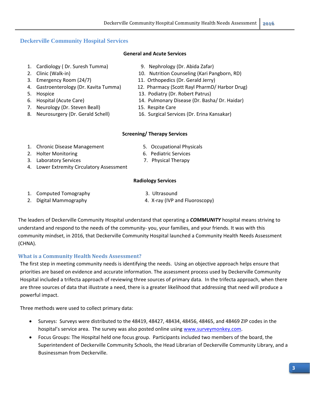## **Deckerville Community Hospital Services**

#### **General and Acute Services**

- 1. Cardiology ( Dr. Suresh Tumma) 9. Nephrology (Dr. Abida Zafar)
- 
- 
- 
- 
- 
- 7. Neurology (Dr. Steven Beall) 15. Respite Care
- 
- 
- 2. Clinic (Walk‐in) 10. Nutrition Counseling (Kari Pangborn, RD)
- 3. Emergency Room (24/7) 11. Orthopedics (Dr. Gerald Jerry)
- 4. Gastroenterology (Dr. Kavita Tumma) 12. Pharmacy (Scott Rayl PharmD/ Harbor Drug)
- 5. Hospice **13. Podiatry (Dr. Robert Patrus)**
- 6. Hospital (Acute Care) 14. Pulmonary Disease (Dr. Basha/ Dr. Haidar)
	-
- 8. Neurosurgery (Dr. Gerald Schell) 16. Surgical Services (Dr. Erina Kansakar)

#### **Screening/ Therapy Services**

- 1. Chronic Disease Management 5. Occupational Physicals
- 2. Holter Monitoring **by Equal to the Services** of the Boston of the Services of the Services
- 3. Laboratory Services 7. Physical Therapy
- 4. Lower Extremity Circulatory Assessment
- 
- 
- 

#### **Radiology Services**

- 1. Computed Tomography 3. Ultrasound
- 
- 
- 2. Digital Mammography 4. X‐ray (IVP and Fluoroscopy)

The leaders of Deckerville Community Hospital understand that operating a *COMMUNITY* hospital means striving to understand and respond to the needs of the community-you, your families, and your friends. It was with this community mindset, in 2016, that Deckerville Community Hospital launched a Community Health Needs Assessment (CHNA).

#### **What is a Community Health Needs Assessment?**

The first step in meeting community needs is identifying the needs. Using an objective approach helps ensure that priorities are based on evidence and accurate information. The assessment process used by Deckerville Community Hospital included a trifecta approach of reviewing three sources of primary data. In the trifecta approach, when there are three sources of data that illustrate a need, there is a greater likelihood that addressing that need will produce a powerful impact.

Three methods were used to collect primary data:

- Surveys: Surveys were distributed to the 48419, 48427, 48434, 48456, 48465, and 48469 ZIP codes in the hospital's service area. The survey was also posted online using www.surveymonkey.com.
- Focus Groups: The Hospital held one focus group. Participants included two members of the board, the Superintendent of Deckerville Community Schools, the Head Librarian of Deckerville Community Library, and a Businessman from Deckerville.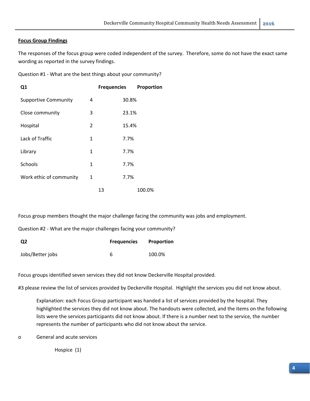#### **Focus Group Findings**

The responses of the focus group were coded independent of the survey. Therefore, some do not have the exact same wording as reported in the survey findings.

| Question #1 - What are the best things about your community? |  |
|--------------------------------------------------------------|--|
|--------------------------------------------------------------|--|

| Q1                          |                | <b>Frequencies</b> | Proportion |
|-----------------------------|----------------|--------------------|------------|
| <b>Supportive Community</b> | 4              |                    | 30.8%      |
| Close community             | 3              |                    | 23.1%      |
| Hospital                    | $\overline{2}$ |                    | 15.4%      |
| Lack of Traffic             | 1              |                    | 7.7%       |
| Library                     | 1              |                    | 7.7%       |
| <b>Schools</b>              | 1              |                    | 7.7%       |
| Work ethic of community     | 1              |                    | 7.7%       |
|                             |                | 13                 | 100.0%     |

Focus group members thought the major challenge facing the community was jobs and employment.

Question #2 ‐ What are the major challenges facing your community?

| Q2               | <b>Frequencies</b> | Proportion |
|------------------|--------------------|------------|
| Jobs/Better jobs |                    | 100.0%     |

Focus groups identified seven services they did not know Deckerville Hospital provided.

#3 please review the list of services provided by Deckerville Hospital. Highlight the services you did not know about.

Explanation: each Focus Group participant was handed a list of services provided by the hospital. They highlighted the services they did not know about. The handouts were collected, and the items on the following lists were the services participants did not know about. If there is a number next to the service, the number represents the number of participants who did not know about the service.

o General and acute services

Hospice (1)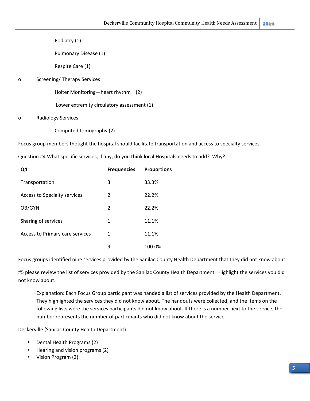Podiatry (1)

Pulmonary Disease (1)

Respite Care (1)

#### o Screening/ Therapy Services

Holter Monitoring—heart rhythm (2)

Lower extremity circulatory assessment (1)

#### o Radiology Services

Computed tomography (2)

Focus group members thought the hospital should facilitate transportation and access to specialty services.

Question #4 What specific services, if any, do you think local Hospitals needs to add? Why?

| Q4                                  | <b>Frequencies</b> | <b>Proportions</b> |
|-------------------------------------|--------------------|--------------------|
| Transportation                      | 3                  | 33.3%              |
| <b>Access to Specialty services</b> | 2                  | 22.2%              |
| OB/GYN                              | 2                  | 22.2%              |
| Sharing of services                 | 1                  | 11.1%              |
| Access to Primary care services     | 1                  | 11.1%              |
|                                     | 9                  | 100.0%             |

Focus groups identified nine services provided by the Sanilac County Health Department that they did not know about.

#5 please review the list of services provided by the Sanilac County Health Department. Highlight the services you did not know about.

Explanation: Each Focus Group participant was handed a list of services provided by the Health Department. They highlighted the services they did not know about. The handouts were collected, and the items on the following lists were the services participants did not know about. If there is a number next to the service, the number represents the number of participants who did not know about the service.

Deckerville (Sanilac County Health Department):

- Dental Health Programs (2)
- Hearing and vision programs (2)
- Vision Program (2)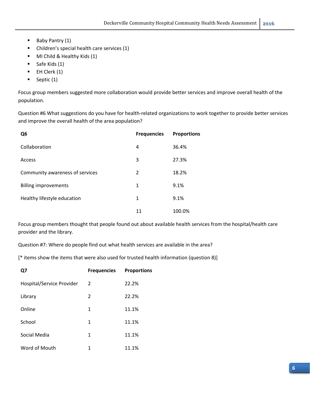- Baby Pantry (1)
- Children's special health care services (1)
- MI Child & Healthy Kids (1)
- $\blacksquare$  Safe Kids (1)
- $\blacksquare$  EH Clerk (1)
- $\blacksquare$  Septic (1)

Focus group members suggested more collaboration would provide better services and improve overall health of the population.

Question #6 What suggestions do you have for health‐related organizations to work together to provide better services and improve the overall health of the area population?

| Q <sub>6</sub>                  | <b>Frequencies</b> | <b>Proportions</b> |
|---------------------------------|--------------------|--------------------|
| Collaboration                   | 4                  | 36.4%              |
| Access                          | 3                  | 27.3%              |
| Community awareness of services | 2                  | 18.2%              |
| <b>Billing improvements</b>     | 1                  | 9.1%               |
| Healthy lifestyle education     | 1                  | 9.1%               |
|                                 | 11                 | 100.0%             |

Focus group members thought that people found out about available health services from the hospital/health care provider and the library.

Question #7: Where do people find out what health services are available in the area?

[\* items show the items that were also used for trusted health information (question 8)]

| Ω7                        | <b>Frequencies</b> | <b>Proportions</b> |
|---------------------------|--------------------|--------------------|
| Hospital/Service Provider | 2                  | 22.2%              |
| Library                   | 2                  | 22.2%              |
| Online                    | 1                  | 11.1%              |
| School                    | 1                  | 11.1%              |
| Social Media              | 1                  | 11.1%              |
| Word of Mouth             | 1                  | 11.1%              |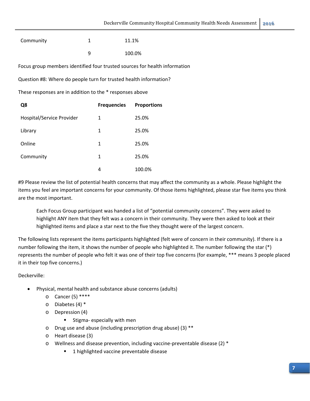| Community                                                         | 1                  | 11.1%                                                                      |
|-------------------------------------------------------------------|--------------------|----------------------------------------------------------------------------|
|                                                                   | 9                  | 100.0%                                                                     |
|                                                                   |                    | Focus group members identified four trusted sources for health information |
| Question #8: Where do people turn for trusted health information? |                    |                                                                            |
| These responses are in addition to the * responses above          |                    |                                                                            |
| Q8                                                                | <b>Frequencies</b> | <b>Proportions</b>                                                         |
| Hospital/Service Provider                                         | $\mathbf{1}$       | 25.0%                                                                      |
| Library                                                           | $\mathbf{1}$       | 25.0%                                                                      |
| Online                                                            | $\mathbf{1}$       | 25.0%                                                                      |
| Community                                                         | $\mathbf{1}$       | 25.0%                                                                      |
|                                                                   | 4                  | 100.0%                                                                     |

#9 Please review the list of potential health concerns that may affect the community as a whole. Please highlight the items you feel are important concerns for your community. Of those items highlighted, please star five items you think are the most important.

Each Focus Group participant was handed a list of "potential community concerns". They were asked to highlight ANY item that they felt was a concern in their community. They were then asked to look at their highlighted items and place a star next to the five they thought were of the largest concern.

The following lists represent the items participants highlighted (felt were of concern in their community). If there is a number following the item, it shows the number of people who highlighted it. The number following the star (\*) represents the number of people who felt it was one of their top five concerns (for example, \*\*\* means 3 people placed it in their top five concerns.)

Deckerville:

- Physical, mental health and substance abuse concerns (adults)
	- $O^{(2)}$  Cancer (5) \*\*\*\*
	- o Diabetes (4) \*
	- o Depression (4)
		- Stigma- especially with men
	- o Drug use and abuse (including prescription drug abuse) (3) \*\*
	- o Heart disease (3)
	- o Wellness and disease prevention, including vaccine‐preventable disease (2) \*
		- **1** highlighted vaccine preventable disease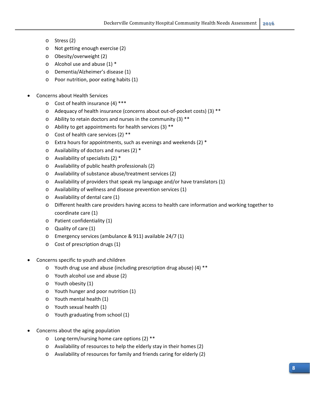- o Stress (2)
- o Not getting enough exercise (2)
- o Obesity/overweight (2)
- $\circ$  Alcohol use and abuse (1)  $*$
- o Dementia/Alzheimer's disease (1)
- o Poor nutrition, poor eating habits (1)
- Concerns about Health Services
	- o Cost of health insurance (4) \*\*\*
	- o Adequacy of health insurance (concerns about out‐of‐pocket costs) (3) \*\*
	- $\circ$  Ability to retain doctors and nurses in the community (3) \*\*
	- o Ability to get appointments for health services (3) \*\*
	- o Cost of health care services (2) \*\*
	- $\circ$  Extra hours for appointments, such as evenings and weekends (2)  $^*$
	- o Availability of doctors and nurses (2) \*
	- o Availability of specialists (2) \*
	- o Availability of public health professionals (2)
	- o Availability of substance abuse/treatment services (2)
	- o Availability of providers that speak my language and/or have translators (1)
	- o Availability of wellness and disease prevention services (1)
	- o Availability of dental care (1)
	- o Different health care providers having access to health care information and working together to coordinate care (1)
	- o Patient confidentiality (1)
	- o Quality of care (1)
	- o Emergency services (ambulance & 911) available 24/7 (1)
	- o Cost of prescription drugs (1)
- Concerns specific to youth and children
	- o Youth drug use and abuse (including prescription drug abuse) (4) \*\*
	- o Youth alcohol use and abuse (2)
	- o Youth obesity (1)
	- o Youth hunger and poor nutrition (1)
	- o Youth mental health (1)
	- o Youth sexual health (1)
	- o Youth graduating from school (1)
- Concerns about the aging population
	- o Long‐term/nursing home care options (2) \*\*
	- o Availability of resources to help the elderly stay in their homes (2)
	- o Availability of resources for family and friends caring for elderly (2)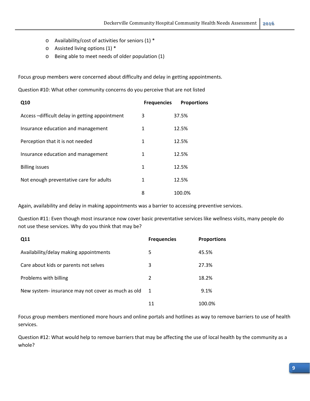- o Availability/cost of activities for seniors (1) \*
- o Assisted living options (1) \*
- o Being able to meet needs of older population (1)

Focus group members were concerned about difficulty and delay in getting appointments.

Question #10: What other community concerns do you perceive that are not listed

| Q10                                           | <b>Frequencies</b> | <b>Proportions</b> |
|-----------------------------------------------|--------------------|--------------------|
| Access-difficult delay in getting appointment | 3                  | 37.5%              |
| Insurance education and management            | 1                  | 12.5%              |
| Perception that it is not needed              | 1                  | 12.5%              |
| Insurance education and management            | 1                  | 12.5%              |
| <b>Billing issues</b>                         | 1                  | 12.5%              |
| Not enough preventative care for adults       | 1                  | 12.5%              |
|                                               | 8                  | 100.0%             |

Again, availability and delay in making appointments was a barrier to accessing preventive services.

Question #11: Even though most insurance now cover basic preventative services like wellness visits, many people do not use these services. Why do you think that may be?

| Q11                                                | <b>Frequencies</b> | <b>Proportions</b> |
|----------------------------------------------------|--------------------|--------------------|
| Availability/delay making appointments             | 5                  | 45.5%              |
| Care about kids or parents not selves              | 3                  | 27.3%              |
| Problems with billing                              | 2                  | 18.2%              |
| New system- insurance may not cover as much as old | -1                 | 9.1%               |
|                                                    | 11                 | 100.0%             |

Focus group members mentioned more hours and online portals and hotlines as way to remove barriers to use of health services.

Question #12: What would help to remove barriers that may be affecting the use of local health by the community as a whole?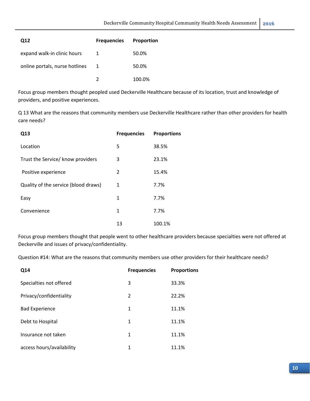| Q12                            | <b>Frequencies</b> | <b>Proportion</b> |
|--------------------------------|--------------------|-------------------|
| expand walk-in clinic hours    | 1                  | 50.0%             |
| online portals, nurse hotlines |                    | 50.0%             |
|                                |                    | 100.0%            |

Focus group members thought peopled used Deckerville Healthcare because of its location, trust and knowledge of providers, and positive experiences.

Q 13 What are the reasons that community members use Deckerville Healthcare rather than other providers for health care needs?

| Q13                                  | <b>Frequencies</b> | <b>Proportions</b> |
|--------------------------------------|--------------------|--------------------|
| Location                             | 5                  | 38.5%              |
| Trust the Service/ know providers    | 3                  | 23.1%              |
| Positive experience                  | 2                  | 15.4%              |
| Quality of the service (blood draws) | 1                  | 7.7%               |
| Easy                                 | 1                  | 7.7%               |
| Convenience                          | 1                  | 7.7%               |
|                                      | 13                 | 100.1%             |

Focus group members thought that people went to other healthcare providers because specialties were not offered at Deckerville and issues of privacy/confidentiality.

Question #14: What are the reasons that community members use other providers for their healthcare needs?

| Q14                       | <b>Frequencies</b> | <b>Proportions</b> |
|---------------------------|--------------------|--------------------|
| Specialties not offered   | 3                  | 33.3%              |
| Privacy/confidentiality   | 2                  | 22.2%              |
| <b>Bad Experience</b>     | 1                  | 11.1%              |
| Debt to Hospital          | 1                  | 11.1%              |
| Insurance not taken       | 1                  | 11.1%              |
| access hours/availability | $\mathbf{1}$       | 11.1%              |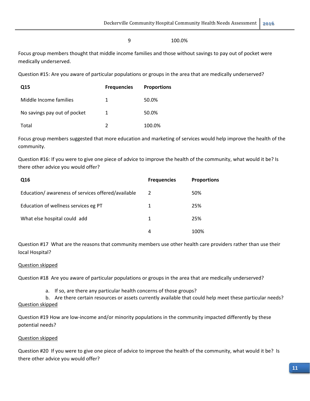#### 9 100.0%

Focus group members thought that middle income families and those without savings to pay out of pocket were medically underserved.

Question #15: Are you aware of particular populations or groups in the area that are medically underserved?

| Q15                          | <b>Frequencies</b> | <b>Proportions</b> |
|------------------------------|--------------------|--------------------|
| Middle Income families       | 1                  | 50.0%              |
| No savings pay out of pocket |                    | 50.0%              |
| Total                        |                    | 100.0%             |

Focus group members suggested that more education and marketing of services would help improve the health of the community.

Question #16: If you were to give one piece of advice to improve the health of the community, what would it be? Is there other advice you would offer?

| Q16                                               | <b>Frequencies</b> | <b>Proportions</b> |
|---------------------------------------------------|--------------------|--------------------|
| Education/awareness of services offered/available | 2                  | 50%                |
| Education of wellness services eg PT              | 1                  | 25%                |
| What else hospital could add                      | 1                  | 25%                |
|                                                   | 4                  | 100%               |

Question #17 What are the reasons that community members use other health care providers rather than use their local Hospital?

#### Question skipped

Question #18 Are you aware of particular populations or groups in the area that are medically underserved?

a. If so, are there any particular health concerns of those groups?

b. Are there certain resources or assets currently available that could help meet these particular needs? Question skipped

Question #19 How are low-income and/or minority populations in the community impacted differently by these potential needs?

#### Question skipped

Question #20 If you were to give one piece of advice to improve the health of the community, what would it be? Is there other advice you would offer?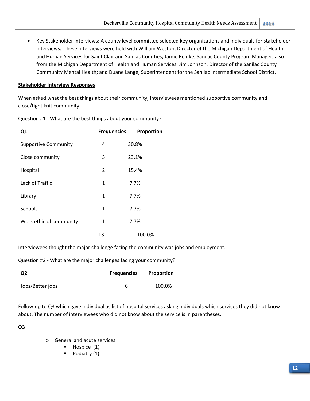Key Stakeholder Interviews: A county level committee selected key organizations and individuals for stakeholder interviews. These interviews were held with William Weston, Director of the Michigan Department of Health and Human Services for Saint Clair and Sanilac Counties; Jamie Reinke, Sanilac County Program Manager, also from the Michigan Department of Health and Human Services; Jim Johnson, Director of the Sanilac County Community Mental Health; and Duane Lange, Superintendent for the Sanilac Intermediate School District.

#### **Stakeholder Interview Responses**

When asked what the best things about their community, interviewees mentioned supportive community and close/tight knit community.

| Q1                          | <b>Frequencies</b> | Proportion |
|-----------------------------|--------------------|------------|
| <b>Supportive Community</b> | 4                  | 30.8%      |
| Close community             | 3                  | 23.1%      |
| Hospital                    | 2                  | 15.4%      |
| Lack of Traffic             | 1                  | 7.7%       |
| Library                     | 1                  | 7.7%       |
| Schools                     | 1                  | 7.7%       |
| Work ethic of community     | 1                  | 7.7%       |
|                             | 13                 | 100.0%     |

Question #1 ‐ What are the best things about your community?

Interviewees thought the major challenge facing the community was jobs and employment.

Question #2 ‐ What are the major challenges facing your community?

| Q2               | <b>Frequencies</b> | Proportion |
|------------------|--------------------|------------|
| Jobs/Better jobs |                    | 100.0%     |

Follow-up to Q3 which gave individual as list of hospital services asking individuals which services they did not know about. The number of interviewees who did not know about the service is in parentheses.

**Q3**

- o General and acute services
	- Hospice (1)
	- Podiatry (1)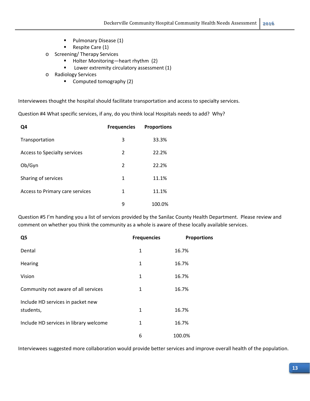- **Pulmonary Disease (1)**
- Respite Care (1)
- o Screening/ Therapy Services
	- Holter Monitoring—heart rhythm (2)
	- **Lower extremity circulatory assessment (1)**
- o Radiology Services
	- Computed tomography (2)

Interviewees thought the hospital should facilitate transportation and access to specialty services.

Question #4 What specific services, if any, do you think local Hospitals needs to add? Why?

| Q4                              | <b>Frequencies</b> | <b>Proportions</b> |
|---------------------------------|--------------------|--------------------|
| Transportation                  | 3                  | 33.3%              |
| Access to Specialty services    | 2                  | 22.2%              |
| Ob/Gyn                          | 2                  | 22.2%              |
| Sharing of services             | 1                  | 11.1%              |
| Access to Primary care services | 1                  | 11.1%              |
|                                 | ٩                  | 100.0%             |

Question #5 I'm handing you a list of services provided by the Sanilac County Health Department. Please review and comment on whether you think the community as a whole is aware of these locally available services.

| Q5                                             | <b>Frequencies</b> | <b>Proportions</b> |
|------------------------------------------------|--------------------|--------------------|
| Dental                                         | 1                  | 16.7%              |
| Hearing                                        | $\mathbf{1}$       | 16.7%              |
| Vision                                         | 1                  | 16.7%              |
| Community not aware of all services            | $\mathbf{1}$       | 16.7%              |
| Include HD services in packet new<br>students, | $\mathbf{1}$       | 16.7%              |
| Include HD services in library welcome         | 1                  | 16.7%              |
|                                                | 6                  | 100.0%             |

Interviewees suggested more collaboration would provide better services and improve overall health of the population.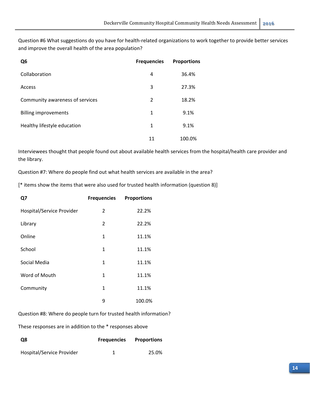Question #6 What suggestions do you have for health‐related organizations to work together to provide better services and improve the overall health of the area population?

| Q <sub>6</sub>                  | <b>Frequencies</b> | <b>Proportions</b> |
|---------------------------------|--------------------|--------------------|
| Collaboration                   | 4                  | 36.4%              |
| Access                          | 3                  | 27.3%              |
| Community awareness of services | 2                  | 18.2%              |
| <b>Billing improvements</b>     | 1                  | 9.1%               |
| Healthy lifestyle education     | 1                  | 9.1%               |
|                                 | 11                 | 100.0%             |

Interviewees thought that people found out about available health services from the hospital/health care provider and the library.

Question #7: Where do people find out what health services are available in the area?

[\* items show the items that were also used for trusted health information (question 8)]

| Q7                        | <b>Frequencies</b> | <b>Proportions</b> |
|---------------------------|--------------------|--------------------|
| Hospital/Service Provider | $\overline{2}$     | 22.2%              |
| Library                   | $\overline{2}$     | 22.2%              |
| Online                    | $\mathbf{1}$       | 11.1%              |
| School                    | 1                  | 11.1%              |
| Social Media              | $\mathbf{1}$       | 11.1%              |
| Word of Mouth             | 1                  | 11.1%              |
| Community                 | 1                  | 11.1%              |
|                           | 9                  | 100.0%             |

Question #8: Where do people turn for trusted health information?

These responses are in addition to the \* responses above

| <b>Q8</b>                 | <b>Frequencies</b> Proportions |       |
|---------------------------|--------------------------------|-------|
| Hospital/Service Provider |                                | 25.0% |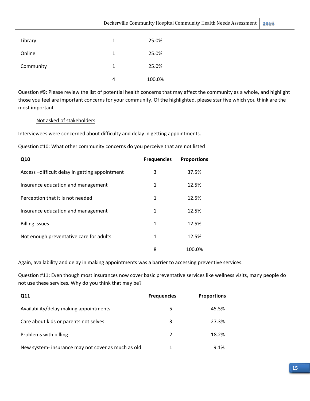| Library   | 1 | 25.0%  |
|-----------|---|--------|
| Online    | 1 | 25.0%  |
| Community | 1 | 25.0%  |
|           | 4 | 100.0% |

Question #9: Please review the list of potential health concerns that may affect the community as a whole, and highlight those you feel are important concerns for your community. Of the highlighted, please star five which you think are the most important

#### Not asked of stakeholders

Interviewees were concerned about difficulty and delay in getting appointments.

Question #10: What other community concerns do you perceive that are not listed

| Q10                                           | <b>Frequencies</b> | <b>Proportions</b> |
|-----------------------------------------------|--------------------|--------------------|
| Access-difficult delay in getting appointment | 3                  | 37.5%              |
| Insurance education and management            | 1                  | 12.5%              |
| Perception that it is not needed              | 1                  | 12.5%              |
| Insurance education and management            | 1                  | 12.5%              |
| <b>Billing issues</b>                         | 1                  | 12.5%              |
| Not enough preventative care for adults       | 1                  | 12.5%              |
|                                               | 8                  | 100.0%             |

Again, availability and delay in making appointments was a barrier to accessing preventive services.

Question #11: Even though most insurances now cover basic preventative services like wellness visits, many people do not use these services. Why do you think that may be?

| Q11                                                | <b>Frequencies</b> | <b>Proportions</b> |
|----------------------------------------------------|--------------------|--------------------|
| Availability/delay making appointments             | 5.                 | 45.5%              |
| Care about kids or parents not selves              | 3                  | 27.3%              |
| Problems with billing                              | $\mathcal{P}$      | 18.2%              |
| New system- insurance may not cover as much as old | 1                  | 9.1%               |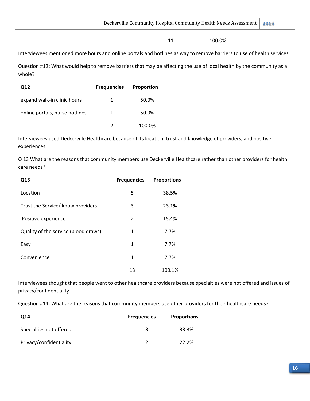11 100.0%

Interviewees mentioned more hours and online portals and hotlines as way to remove barriers to use of health services.

Question #12: What would help to remove barriers that may be affecting the use of local health by the community as a whole?

| Q12                            | <b>Frequencies</b> | <b>Proportion</b> |
|--------------------------------|--------------------|-------------------|
| expand walk-in clinic hours    | 1                  | 50.0%             |
| online portals, nurse hotlines | 1                  | 50.0%             |
|                                |                    | 100.0%            |

Interviewees used Deckerville Healthcare because of its location, trust and knowledge of providers, and positive experiences.

Q 13 What are the reasons that community members use Deckerville Healthcare rather than other providers for health care needs?

| Q13                                  | <b>Frequencies</b> | <b>Proportions</b> |
|--------------------------------------|--------------------|--------------------|
| Location                             | 5                  | 38.5%              |
| Trust the Service/ know providers    | 3                  | 23.1%              |
| Positive experience                  | $\overline{2}$     | 15.4%              |
| Quality of the service (blood draws) | 1                  | 7.7%               |
| Easy                                 | 1                  | 7.7%               |
| Convenience                          | 1                  | 7.7%               |
|                                      | 13                 | 100.1%             |

Interviewees thought that people went to other healthcare providers because specialties were not offered and issues of privacy/confidentiality.

Question #14: What are the reasons that community members use other providers for their healthcare needs?

| Q14                     | <b>Frequencies</b> | <b>Proportions</b> |
|-------------------------|--------------------|--------------------|
| Specialties not offered |                    | 33.3%              |
| Privacy/confidentiality |                    | 22.2%              |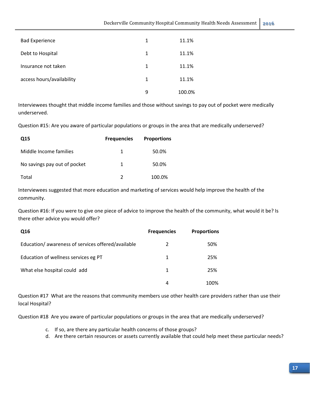| <b>Bad Experience</b>     | 1 | 11.1%  |
|---------------------------|---|--------|
| Debt to Hospital          | 1 | 11.1%  |
| Insurance not taken       | 1 | 11.1%  |
| access hours/availability | 1 | 11.1%  |
|                           | 9 | 100.0% |

Interviewees thought that middle income families and those without savings to pay out of pocket were medically underserved.

Question #15: Are you aware of particular populations or groups in the area that are medically underserved?

| Q <sub>15</sub>              | <b>Frequencies</b> | <b>Proportions</b> |
|------------------------------|--------------------|--------------------|
| Middle Income families       | 1.                 | 50.0%              |
| No savings pay out of pocket | 1                  | 50.0%              |
| Total                        | 2                  | 100.0%             |

Interviewees suggested that more education and marketing of services would help improve the health of the community.

Question #16: If you were to give one piece of advice to improve the health of the community, what would it be? Is there other advice you would offer?

| Q16                                               | <b>Frequencies</b> | <b>Proportions</b> |
|---------------------------------------------------|--------------------|--------------------|
| Education/awareness of services offered/available | 2                  | 50%                |
| Education of wellness services eg PT              | 1                  | 25%                |
| What else hospital could add                      | 1                  | 25%                |
|                                                   | 4                  | 100%               |

Question #17 What are the reasons that community members use other health care providers rather than use their local Hospital?

Question #18 Are you aware of particular populations or groups in the area that are medically underserved?

- c. If so, are there any particular health concerns of those groups?
- d. Are there certain resources or assets currently available that could help meet these particular needs?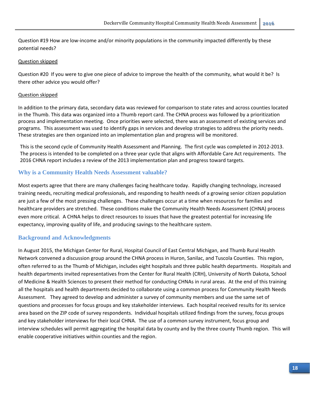Question #19 How are low‐income and/or minority populations in the community impacted differently by these potential needs?

#### Question skipped

Question #20 If you were to give one piece of advice to improve the health of the community, what would it be? Is there other advice you would offer?

#### Question skipped

In addition to the primary data, secondary data was reviewed for comparison to state rates and across counties located in the Thumb. This data was organized into a Thumb report card. The CHNA process was followed by a prioritization process and implementation meeting. Once priorities were selected, there was an assessment of existing services and programs. This assessment was used to identify gaps in services and develop strategies to address the priority needs. These strategies are then organized into an implementation plan and progress will be monitored.

This is the second cycle of Community Health Assessment and Planning. The first cycle was completed in 2012‐2013. The process is intended to be completed on a three year cycle that aligns with Affordable Care Act requirements. The 2016 CHNA report includes a review of the 2013 implementation plan and progress toward targets.

#### **Why is a Community Health Needs Assessment valuable?**

Most experts agree that there are many challenges facing healthcare today. Rapidly changing technology, increased training needs, recruiting medical professionals, and responding to health needs of a growing senior citizen population are just a few of the most pressing challenges. These challenges occur at a time when resources for families and healthcare providers are stretched. These conditions make the Community Health Needs Assessment (CHNA) process even more critical. A CHNA helps to direct resources to issues that have the greatest potential for increasing life expectancy, improving quality of life, and producing savings to the healthcare system.

#### **Background and Acknowledgments**

In August 2015, the Michigan Center for Rural, Hospital Council of East Central Michigan, and Thumb Rural Health Network convened a discussion group around the CHNA process in Huron, Sanilac, and Tuscola Counties. This region, often referred to as the Thumb of Michigan, includes eight hospitals and three public health departments. Hospitals and health departments invited representatives from the Center for Rural Health (CRH), University of North Dakota, School of Medicine & Health Sciences to present their method for conducting CHNAs in rural areas. At the end of this training all the hospitals and health departments decided to collaborate using a common process for Community Health Needs Assessment. They agreed to develop and administer a survey of community members and use the same set of questions and processes for focus groups and key stakeholder interviews. Each hospital received results for its service area based on the ZIP code of survey respondents. Individual hospitals utilized findings from the survey, focus groups and key stakeholder interviews for their local CHNA. The use of a common survey instrument, focus group and interview schedules will permit aggregating the hospital data by county and by the three county Thumb region. This will enable cooperative initiatives within counties and the region.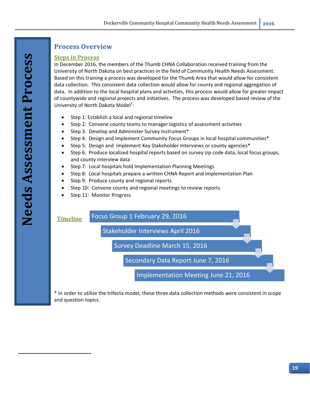# **Process Overview**

## **Steps in Process**

In December 2016, the members of the Thumb CHNA Collaboration received training from the University of North Dakota on best practices in the field of Community Health Needs Assessment. Based on this training a process was developed for the Thumb Area that would allow for consistent data collection. This consistent data collection would allow for county and regional aggregation of data. In addition to the local hospital plans and activities, this process would allow for greater impact of countywide and regional projects and initiatives. The process was developed based review of the University of North Dakota Model<sup>1</sup>:

- Step 1: Establish a local and regional timeline
- Step 2: Convene county teams to manager logistics of assessment activities
- Step 3: Develop and Administer Survey Instrument\*
- Step 4: Design and implement Community Focus Groups in local hospital communities\*
- Step 5: Design and implement Key Stakeholder Interviews or county agencies\*
- Step 6: Produce localized hospital reports based on survey zip code data, local focus groups, and county interview data
- Step 7: Local hospitals hold Implementation Planning Meetings
- Step 8: Local hospitals prepare a written CHNA Report and Implementation Plan
- Step 9: Produce county and regional reports
- Step 10: Convene county and regional meetings to review reports
- Step 11: Monitor Progress



\* In order to utilize the trifecta model, these three data collection methods were consistent in scope and question topics.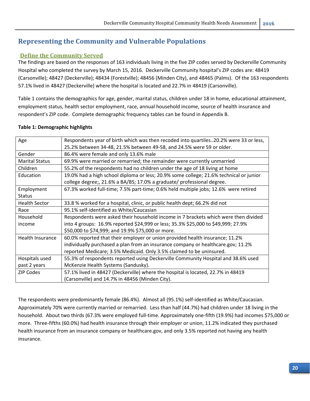# **Representing the Community and Vulnerable Populations**

## **Define the Community Served**

The findings are based on the responses of 163 individuals living in the five ZIP codes served by Deckerville Community Hospital who completed the survey by March 15, 2016. Deckerville Community hospital's ZIP codes are: 48419 (Carsonville); 48427 (Deckerville); 48434 (Forestville); 48456 (Minden City), and 48465 (Palms). Of the 163 respondents 57.1% lived in 48427 (Deckerville) where the hospital is located and 22.7% in 48419 (Carsonville).

Table 1 contains the demographics for age, gender, marital status, children under 18 in home, educational attainment, employment status, health sector employment, race, annual household income, source of health insurance and respondent's ZIP code. Complete demographic frequency tables can be found in Appendix B.

| Age                   | Respondents year of birth which was then recoded into quartiles20.2% were 33 or less,                                                                            |
|-----------------------|------------------------------------------------------------------------------------------------------------------------------------------------------------------|
|                       | 25.2% between 34-48, 21.5% between 49-58, and 24.5% were 59 or older.                                                                                            |
| Gender                | 86.4% were female and only 13.6% male                                                                                                                            |
| <b>Marital Status</b> | 69.9% were married or remarried; the remainder were currently unmarried                                                                                          |
| Children              | 55.2% of the respondents had no children under the age of 18 living at home                                                                                      |
| Education             | 19.0% had a high school diploma or less; 20.9% some college; 21.6% technical or junior<br>college degree;, 21.6% a BA/BS; 17.0% a graduate/ professional degree. |
| Employment            | 67.3% worked full-time; 7.5% part-time; 0.6% held multiple jobs; 12.6% were retired                                                                              |
| <b>Status</b>         |                                                                                                                                                                  |
| <b>Health Sector</b>  | 33.8 % worked for a hospital, clinic, or public health dept; 66.2% did not                                                                                       |
| Race                  | 95.1% self-identified as White/Caucasian                                                                                                                         |
| Household             | Respondents were asked their household income in 7 brackets which were then divided                                                                              |
| income                | into 4 groups: 16.9% reported \$24,999 or less; 35.3% \$25,000 to \$49,999; 27.9%                                                                                |
|                       | \$50,000 to \$74,999; and 19.9% \$75,000 or more.                                                                                                                |
| Health Insurance      | 60.0% reported that their employer or union provided health insurance; 11.2%                                                                                     |
|                       | individually purchased a plan from an insurance company or healthcare.gov; 11.2%                                                                                 |
|                       | reported Medicare; 3.5% Medicaid. Only 3.5% claimed to be uninsured.                                                                                             |
| Hospitals used        | 55.3% of respondents reported using Deckerville Community Hospital and 38.6% used                                                                                |
| past 2 years          | McKenzie Health Systems (Sandusky).                                                                                                                              |
| <b>ZIP Codes</b>      | 57.1% lived in 48427 (Deckerville) where the hospital is located, 22.7% in 48419                                                                                 |
|                       | (Carsonville) and 14.7% in 48456 (Minden City).                                                                                                                  |

#### **Table 1: Demographic highlights**

The respondents were predominantly female (86.4%). Almost all (95.1%) self‐identified as White/Caucasian. Approximately 70% were currently married or remarried. Less than half (44.7%) had children under 18 living in the household. About two thirds (67.3% were employed full‐time. Approximately one‐fifth (19.9%) had incomes \$75,000 or more. Three‐fifths (60.0%) had health insurance through their employer or union, 11.2% indicated they purchased health insurance from an insurance company or healthcare.gov, and only 3.5% reported not having any health insurance.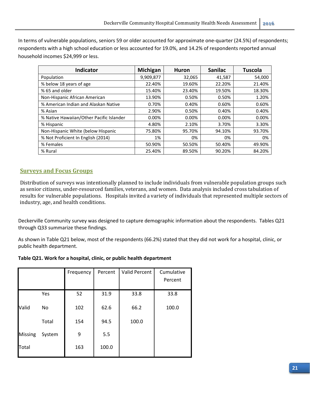In terms of vulnerable populations, seniors 59 or older accounted for approximate one-quarter (24.5%) of respondents; respondents with a high school education or less accounted for 19.0%, and 14.2% of respondents reported annual household incomes \$24,999 or less.

| <b>Indicator</b>                         | Michigan  | <b>Huron</b> | <b>Sanilac</b> | <b>Tuscola</b> |
|------------------------------------------|-----------|--------------|----------------|----------------|
| Population                               | 9,909,877 | 32,065       | 41,587         | 54,000         |
| % below 18 years of age                  | 22.40%    | 19.60%       | 22.20%         | 21.40%         |
| % 65 and older                           | 15.40%    | 23.40%       | 19.50%         | 18.30%         |
| Non-Hispanic African American            | 13.90%    | 0.50%        | 0.50%          | 1.20%          |
| % American Indian and Alaskan Native     | 0.70%     | 0.40%        | 0.60%          | 0.60%          |
| % Asian                                  | 2.90%     | 0.50%        | 0.40%          | 0.40%          |
| % Native Hawaiian/Other Pacific Islander | 0.00%     | 0.00%        | 0.00%          | 0.00%          |
| % Hispanic                               | 4.80%     | 2.10%        | 3.70%          | 3.30%          |
| Non-Hispanic White (below Hispanic       | 75.80%    | 95.70%       | 94.10%         | 93.70%         |
| % Not Proficient In English (2014)       | 1%        | 0%           | 0%             | 0%             |
| % Females                                | 50.90%    | 50.50%       | 50.40%         | 49.90%         |
| % Rural                                  | 25.40%    | 89.50%       | 90.20%         | 84.20%         |

## **Surveys and Focus Groups**

Distribution of surveys was intentionally planned to include individuals from vulnerable population groups such as senior citizens, under-resourced families, veterans, and women. Data analysis included cross tabulation of results for vulnerable populations. Hospitals invited a variety of individuals that represented multiple sectors of industry, age, and health conditions.

Deckerville Community survey was designed to capture demographic information about the respondents. Tables Q21 through Q33 summarize these findings.

As shown in Table Q21 below, most of the respondents (66.2%) stated that they did not work for a hospital, clinic, or public health department.

#### **Table Q21. Work for a hospital, clinic, or public health department**

|                |        | Frequency | Percent | <b>Valid Percent</b> | Cumulative |
|----------------|--------|-----------|---------|----------------------|------------|
|                |        |           |         |                      | Percent    |
|                | Yes    | 52        | 31.9    | 33.8                 | 33.8       |
| Valid          | No.    | 102       | 62.6    | 66.2                 | 100.0      |
|                | Total  | 154       | 94.5    | 100.0                |            |
| <b>Missing</b> | System | 9         | 5.5     |                      |            |
| Total          |        | 163       | 100.0   |                      |            |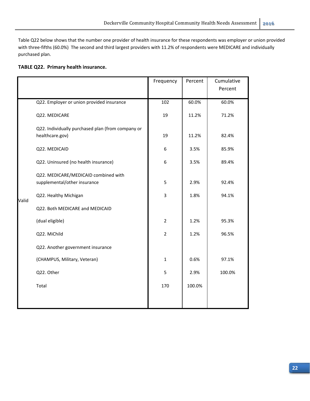Table Q22 below shows that the number one provider of health insurance for these respondents was employer or union provided with three-fifths (60.0%) The second and third largest providers with 11.2% of respondents were MEDICARE and individually purchased plan.

#### **TABLE Q22. Primary health insurance.**

|       |                                                                      | Frequency      | Percent | Cumulative |
|-------|----------------------------------------------------------------------|----------------|---------|------------|
|       |                                                                      |                |         | Percent    |
|       | Q22. Employer or union provided insurance                            | 102            | 60.0%   | 60.0%      |
|       | Q22. MEDICARE                                                        | 19             | 11.2%   | 71.2%      |
|       | Q22. Individually purchased plan (from company or<br>healthcare.gov) | 19             | 11.2%   | 82.4%      |
|       | Q22. MEDICAID                                                        | 6              | 3.5%    | 85.9%      |
|       | Q22. Uninsured (no health insurance)                                 | 6              | 3.5%    | 89.4%      |
|       | Q22. MEDICARE/MEDICAID combined with<br>supplemental/other insurance | 5              | 2.9%    | 92.4%      |
| Valid | Q22. Healthy Michigan                                                | 3              | 1.8%    | 94.1%      |
|       | Q22. Both MEDICARE and MEDICAID                                      |                |         |            |
|       | (dual eligible)                                                      | $\overline{2}$ | 1.2%    | 95.3%      |
|       | Q22. MiChild                                                         | $\overline{2}$ | 1.2%    | 96.5%      |
|       | Q22. Another government insurance                                    |                |         |            |
|       | (CHAMPUS, Military, Veteran)                                         | $\mathbf{1}$   | 0.6%    | 97.1%      |
|       | Q22. Other                                                           | 5              | 2.9%    | 100.0%     |
|       | Total                                                                | 170            | 100.0%  |            |
|       |                                                                      |                |         |            |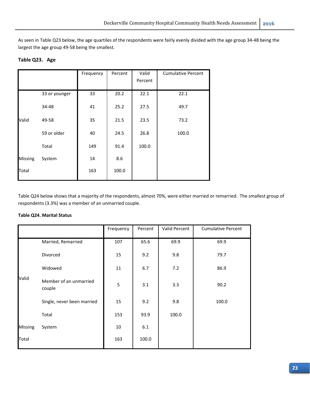As seen in Table Q23 below, the age quartiles of the respondents were fairly evenly divided with the age group 34‐48 being the largest the age group 49‐58 being the smallest.

#### **Table Q23. Age**

|                |               | Frequency | Percent | Valid   | <b>Cumulative Percent</b> |
|----------------|---------------|-----------|---------|---------|---------------------------|
|                |               |           |         | Percent |                           |
|                | 33 or younger | 33        | 20.2    | 22.1    | 22.1                      |
|                | 34-48         | 41        | 25.2    | 27.5    | 49.7                      |
| Valid          | 49-58         | 35        | 21.5    | 23.5    | 73.2                      |
|                | 59 or older   | 40        | 24.5    | 26.8    | 100.0                     |
|                | Total         | 149       | 91.4    | 100.0   |                           |
| <b>Missing</b> | System        | 14        | 8.6     |         |                           |
| Total          |               | 163       | 100.0   |         |                           |

Table Q24 below shows that a majority of the respondents, almost 70%, were either married or remarried. The smallest group of respondents (3.3%) was a member of an unmarried couple.

#### **Table Q24. Marital Status**

|                |                                  | Frequency | Percent | Valid Percent | <b>Cumulative Percent</b> |
|----------------|----------------------------------|-----------|---------|---------------|---------------------------|
|                | Married, Remarried               | 107       | 65.6    | 69.9          | 69.9                      |
|                | Divorced                         | 15        | 9.2     | 9.8           | 79.7                      |
|                | Widowed                          | 11        | 6.7     | 7.2           | 86.9                      |
| Valid          | Member of an unmarried<br>couple | 5         | 3.1     | 3.3           | 90.2                      |
|                | Single, never been married       | 15        | 9.2     | 9.8           | 100.0                     |
|                | Total                            | 153       | 93.9    | 100.0         |                           |
| <b>Missing</b> | System                           | 10        | 6.1     |               |                           |
| Total          |                                  | 163       | 100.0   |               |                           |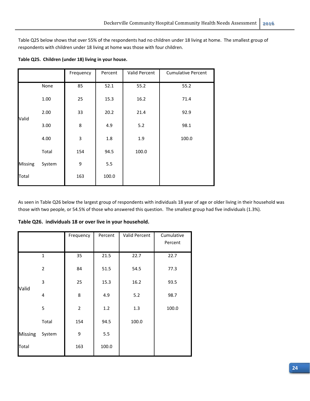Table Q25 below shows that over 55% of the respondents had no children under 18 living at home. The smallest group of respondents with children under 18 living at home was those with four children.

|                |        | Frequency | Percent | Valid Percent | <b>Cumulative Percent</b> |
|----------------|--------|-----------|---------|---------------|---------------------------|
|                | None   | 85        | 52.1    | 55.2          | 55.2                      |
|                | 1.00   | 25        | 15.3    | 16.2          | 71.4                      |
| Valid          | 2.00   | 33        | 20.2    | 21.4          | 92.9                      |
|                | 3.00   | 8         | 4.9     | 5.2           | 98.1                      |
|                | 4.00   | 3         | $1.8\,$ | 1.9           | 100.0                     |
|                | Total  | 154       | 94.5    | 100.0         |                           |
| <b>Missing</b> | System | 9         | 5.5     |               |                           |
| Total          |        | 163       | 100.0   |               |                           |

**Table Q25. Children (under 18) living in your house.**

As seen in Table Q26 below the largest group of respondents with individuals 18 year of age or older living in their household was those with two people, or 54.5% of those who answered this question. The smallest group had five individuals (1.3%).

|                |                | Frequency      | Percent | Valid Percent | Cumulative<br>Percent |
|----------------|----------------|----------------|---------|---------------|-----------------------|
|                |                |                |         |               |                       |
|                | 1              | 35             | 21.5    | 22.7          | 22.7                  |
|                | $\overline{2}$ | 84             | 51.5    | 54.5          | 77.3                  |
| Valid          | 3              | 25             | 15.3    | 16.2          | 93.5                  |
|                | $\overline{4}$ | 8              | 4.9     | 5.2           | 98.7                  |
|                | 5              | $\overline{2}$ | 1.2     | 1.3           | 100.0                 |
|                | Total          | 154            | 94.5    | 100.0         |                       |
| <b>Missing</b> | System         | 9              | 5.5     |               |                       |
| Total          |                | 163            | 100.0   |               |                       |
|                |                |                |         |               |                       |

**Table Q26. individuals 18 or over live in your household.**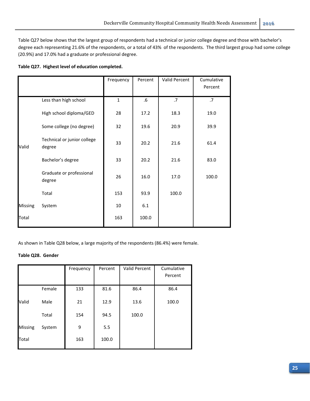Table Q27 below shows that the largest group of respondents had a technical or junior college degree and those with bachelor's degree each representing 21.6% of the respondents, or a total of 43% of the respondents. The third largest group had some college (20.9%) and 17.0% had a graduate or professional degree.

#### **Table Q27. Highest level of education completed.**

|                |                                       | Frequency    | Percent | Valid Percent | Cumulative<br>Percent |
|----------------|---------------------------------------|--------------|---------|---------------|-----------------------|
|                | Less than high school                 | $\mathbf{1}$ | $.6\,$  | .7            | .7                    |
|                | High school diploma/GED               | 28           | 17.2    | 18.3          | 19.0                  |
|                | Some college (no degree)              | 32           | 19.6    | 20.9          | 39.9                  |
| Valid          | Technical or junior college<br>degree | 33           | 20.2    | 21.6          | 61.4                  |
|                | Bachelor's degree                     | 33           | 20.2    | 21.6          | 83.0                  |
|                | Graduate or professional<br>degree    | 26           | 16.0    | 17.0          | 100.0                 |
|                | Total                                 | 153          | 93.9    | 100.0         |                       |
| <b>Missing</b> | System                                | 10           | 6.1     |               |                       |
| Total          |                                       | 163          | 100.0   |               |                       |

As shown in Table Q28 below, a large majority of the respondents (86.4%) were female.

#### **Table Q28. Gender**

|                |        | Frequency | Percent | Valid Percent | Cumulative |
|----------------|--------|-----------|---------|---------------|------------|
|                |        |           |         |               | Percent    |
|                |        |           |         |               |            |
|                | Female | 133       | 81.6    | 86.4          | 86.4       |
| Valid          | Male   | 21        | 12.9    | 13.6          | 100.0      |
|                | Total  | 154       | 94.5    | 100.0         |            |
| <b>Missing</b> | System | 9         | 5.5     |               |            |
| Total          |        | 163       | 100.0   |               |            |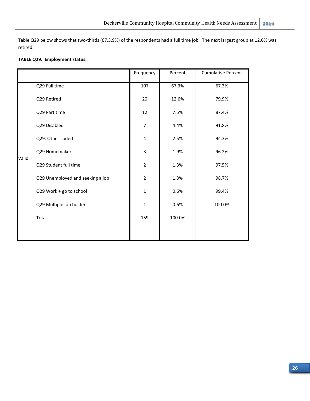Table Q29 below shows that two-thirds (67.3.9%) of the respondents had a full time job. The next largest group at 12.6% was retired.

#### **TABLE Q29. Employment status.**

|       |                                  | Frequency      | Percent | <b>Cumulative Percent</b> |
|-------|----------------------------------|----------------|---------|---------------------------|
|       | Q29 Full time                    | 107            | 67.3%   | 67.3%                     |
|       | Q29 Retired                      | 20             | 12.6%   | 79.9%                     |
|       | Q29 Part time                    | 12             | 7.5%    | 87.4%                     |
|       | Q29 Disabled                     | $\overline{7}$ | 4.4%    | 91.8%                     |
|       | Q29. Other coded                 | 4              | 2.5%    | 94.3%                     |
| Valid | Q29 Homemaker                    | 3              | 1.9%    | 96.2%                     |
|       | Q29 Student full time            | $\overline{2}$ | 1.3%    | 97.5%                     |
|       | Q29 Unemployed and seeking a job | $\overline{2}$ | 1.3%    | 98.7%                     |
|       | Q29 Work + go to school          | $\mathbf 1$    | 0.6%    | 99.4%                     |
|       | Q29 Multiple job holder          | $\mathbf{1}$   | 0.6%    | 100.0%                    |
|       | Total                            | 159            | 100.0%  |                           |
|       |                                  |                |         |                           |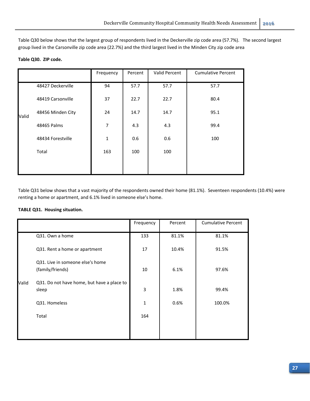Table Q30 below shows that the largest group of respondents lived in the Deckerville zip code area (57.7%). The second largest group lived in the Carsonville zip code area (22.7%) and the third largest lived in the Minden City zip code area

#### **Table Q30. ZIP code.**

|       |                   | Frequency      | Percent | Valid Percent | <b>Cumulative Percent</b> |
|-------|-------------------|----------------|---------|---------------|---------------------------|
|       | 48427 Deckerville | 94             | 57.7    | 57.7          | 57.7                      |
|       | 48419 Carsonville | 37             | 22.7    | 22.7          | 80.4                      |
| Valid | 48456 Minden City | 24             | 14.7    | 14.7          | 95.1                      |
|       | 48465 Palms       | $\overline{7}$ | 4.3     | 4.3           | 99.4                      |
|       | 48434 Forestville | $\mathbf{1}$   | 0.6     | 0.6           | 100                       |
|       | Total             | 163            | 100     | 100           |                           |
|       |                   |                |         |               |                           |

Table Q31 below shows that a vast majority of the respondents owned their home (81.1%). Seventeen respondents (10.4%) were renting a home or apartment, and 6.1% lived in someone else's home.

#### **TABLE Q31. Housing situation.**

|       |                                                      | Frequency    | Percent | <b>Cumulative Percent</b> |
|-------|------------------------------------------------------|--------------|---------|---------------------------|
|       | Q31. Own a home                                      | 133          | 81.1%   | 81.1%                     |
|       | Q31. Rent a home or apartment                        | 17           | 10.4%   | 91.5%                     |
|       | Q31. Live in someone else's home<br>(family/friends) | 10           | 6.1%    | 97.6%                     |
| Valid | Q31. Do not have home, but have a place to<br>sleep  | 3            | 1.8%    | 99.4%                     |
|       | Q31. Homeless                                        | $\mathbf{1}$ | 0.6%    | 100.0%                    |
|       | Total                                                | 164          |         |                           |
|       |                                                      |              |         |                           |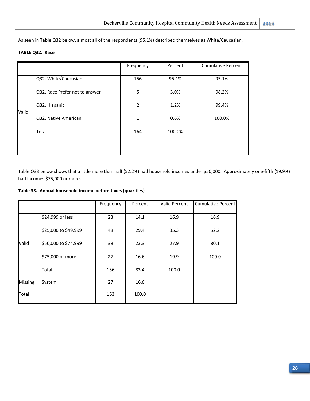As seen in Table Q32 below, almost all of the respondents (95.1%) described themselves as White/Caucasian.

#### **TABLE Q32. Race**

|       |                                | Frequency      | Percent | <b>Cumulative Percent</b> |
|-------|--------------------------------|----------------|---------|---------------------------|
|       | Q32. White/Caucasian           | 156            | 95.1%   | 95.1%                     |
|       | Q32. Race Prefer not to answer | 5              | 3.0%    | 98.2%                     |
| Valid | Q32. Hispanic                  | $\overline{2}$ | 1.2%    | 99.4%                     |
|       | Q32. Native American           | 1              | 0.6%    | 100.0%                    |
|       | Total                          | 164            | 100.0%  |                           |
|       |                                |                |         |                           |

Table Q33 below shows that a little more than half (52.2%) had household incomes under \$50,000. Approximately one‐fifth (19.9%) had incomes \$75,000 or more.

**Table 33. Annual household income before taxes (quartiles)**

|                |                      | Frequency | Percent | Valid Percent | Cumulative Percent |
|----------------|----------------------|-----------|---------|---------------|--------------------|
|                | \$24,999 or less     | 23        | 14.1    | 16.9          | 16.9               |
|                | \$25,000 to \$49,999 | 48        | 29.4    | 35.3          | 52.2               |
| Valid          | \$50,000 to \$74,999 | 38        | 23.3    | 27.9          | 80.1               |
|                | \$75,000 or more     | 27        | 16.6    | 19.9          | 100.0              |
|                | Total                | 136       | 83.4    | 100.0         |                    |
| <b>Missing</b> | System               | 27        | 16.6    |               |                    |
| Total          |                      | 163       | 100.0   |               |                    |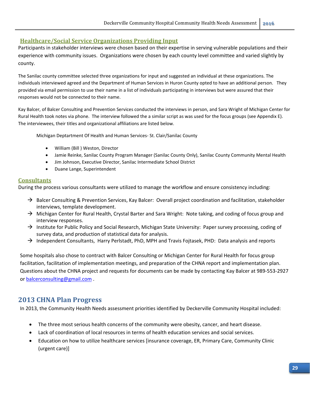#### **Healthcare/Social Service Organizations Providing Input**

Participants in stakeholder interviews were chosen based on their expertise in serving vulnerable populations and their experience with community issues. Organizations were chosen by each county level committee and varied slightly by county.

The Sanilac county committee selected three organizations for input and suggested an individual at these organizations. The individuals interviewed agreed and the Department of Human Services in Huron County opted to have an additional person. They provided via email permission to use their name in a list of individuals participating in interviews but were assured that their responses would not be connected to their name.

Kay Balcer, of Balcer Consulting and Prevention Services conducted the interviews in person, and Sara Wright of Michigan Center for Rural Health took notes via phone. The interview followed the a similar script as was used for the focus groups (see Appendix E). The interviewees, their titles and organizational affiliations are listed below.

Michigan Deptartment Of Health and Human Services‐ St. Clair/Sanilac County

- William (Bill ) Weston, Director
- Jamie Reinke, Sanilac County Program Manager (Sanilac County Only), Sanilac County Community Mental Health
- Jim Johnson, Executive Director, Sanilac Intermediate School District
- Duane Lange, Superintendent

#### **Consultants**

During the process various consultants were utilized to manage the workflow and ensure consistency including:

- $\rightarrow$  Balcer Consulting & Prevention Services, Kay Balcer: Overall project coordination and facilitation, stakeholder interviews, template development.
- $\rightarrow$  Michigan Center for Rural Health, Crystal Barter and Sara Wright: Note taking, and coding of focus group and interview responses.
- $\rightarrow$  Institute for Public Policy and Social Research, Michigan State University: Paper survey processing, coding of survey data, and production of statistical data for analysis.
- $\rightarrow$  Independent Consultants, Harry Perlstadt, PhD, MPH and Travis Fojtasek, PHD: Data analysis and reports

Some hospitals also chose to contract with Balcer Consulting or Michigan Center for Rural Health for focus group facilitation, facilitation of implementation meetings, and preparation of the CHNA report and implementation plan. Questions about the CHNA project and requests for documents can be made by contacting Kay Balcer at 989‐553‐2927 or balcerconsulting@gmail.com .

## **2013 CHNA Plan Progress**

In 2013, the Community Health Needs assessment priorities identified by Deckerville Community Hospital included:

- The three most serious health concerns of the community were obesity, cancer, and heart disease.
- Lack of coordination of local resources in terms of health education services and social services.
- Education on how to utilize healthcare services [insurance coverage, ER, Primary Care, Community Clinic (urgent care)]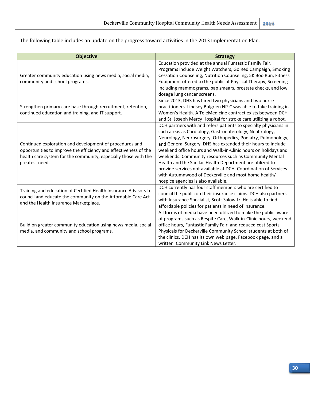The following table includes an update on the progress toward activities in the 2013 Implementation Plan.

| <b>Objective</b>                                                                                           | <b>Strategy</b>                                                                                                                |
|------------------------------------------------------------------------------------------------------------|--------------------------------------------------------------------------------------------------------------------------------|
|                                                                                                            | Education provided at the annual Funtastic Family Fair.                                                                        |
|                                                                                                            | Programs include Weight Watchers, Go Red Campaign, Smoking                                                                     |
| Greater community education using news media, social media,                                                | Cessation Counseling, Nutrition Counseling, 5K Boo Run, Fitness                                                                |
| community and school programs.                                                                             | Equipment offered to the public at Physical Therapy, Screening                                                                 |
|                                                                                                            | including mammograms, pap smears, prostate checks, and low                                                                     |
|                                                                                                            | dosage lung cancer screens.                                                                                                    |
|                                                                                                            | Since 2013, DHS has hired two physicians and two nurse                                                                         |
| Strengthen primary care base through recruitment, retention,                                               | practitioners. Lindsey Bulgrien NP-C was able to take training in                                                              |
| continued education and training, and IT support.                                                          | Women's Health. A TeleMedicine contract exists between DCH                                                                     |
|                                                                                                            | and St. Joseph Mercy Hospital for stroke care utilizing a robot.                                                               |
|                                                                                                            | DCH partners with and refers patients to specialty physicians in                                                               |
|                                                                                                            | such areas as Cardiology, Gastroenterology, Nephrology,                                                                        |
|                                                                                                            | Neurology, Neurosurgery, Orthopedics, Podiatry, Pulmonology,                                                                   |
| Continued exploration and development of procedures and                                                    | and General Surgery. DHS has extended their hours to include                                                                   |
| opportunities to improve the efficiency and effectiveness of the                                           | weekend office hours and Walk-in-Clinic hours on holidays and                                                                  |
| health care system for the community, especially those with the                                            | weekends. Community resources such as Community Mental                                                                         |
| greatest need.                                                                                             | Health and the Sanilac Health Department are utilized to                                                                       |
|                                                                                                            | provide services not available at DCH. Coordination of Services                                                                |
|                                                                                                            | with Autumnwood of Deckerville and most home health/                                                                           |
|                                                                                                            | hospice agencies is also available.                                                                                            |
| Training and education of Certified Health Insurance Advisors to                                           | DCH currently has four staff members who are certified to                                                                      |
| council and educate the community on the Affordable Care Act                                               | council the public on their insurance claims. DCH also partners                                                                |
| and the Health Insurance Marketplace.                                                                      | with Insurance Specialist, Scott Salowitz. He is able to find                                                                  |
|                                                                                                            | affordable policies for patients in need of insurance.                                                                         |
|                                                                                                            | All forms of media have been utilized to make the public aware                                                                 |
|                                                                                                            | of programs such as Respite Care, Walk-in-Clinic hours, weekend                                                                |
| Build on greater community education using news media, social<br>media, and community and school programs. | office hours, Funtastic Family Fair, and reduced cost Sports<br>Physicals for Deckerville Community School students at both of |
|                                                                                                            | the clinics. DCH has its own web page, Facebook page, and a                                                                    |
|                                                                                                            | written Community Link News Letter.                                                                                            |
|                                                                                                            |                                                                                                                                |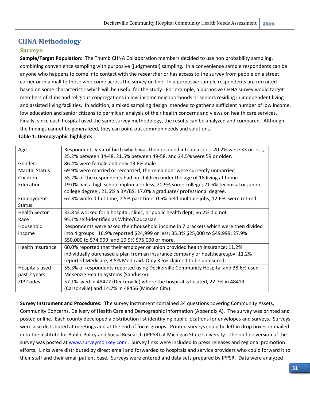## **CHNA Methodology**

## **Surveys:**

**Sample/Target Population:** The Thumb CHNA Collaboration members decided to use non probability sampling, combining convenience sampling with purposive (judgmental) sampling. In a convenience sample respondents can be anyone who happens to come into contact with the researcher or has access to the survey from people on a street corner or in a mall to those who come across the survey on line. In a purposive sample respondents are recruited based on some characteristic which will be useful for the study. For example, a purposive CHNA survey would target members of clubs and religious congregations in low income neighborhoods or seniors residing in independent living and assisted living facilities. In addition, a mixed sampling design intended to gather a sufficient number of low income, low education and senior citizens to permit an analysis of their health concerns and views on health care services. Finally, since each hospital used the same survey methodology, the results can be analyzed and compared. Although the findings cannot be generalized, they can point out common needs and solutions.

#### **Table 1: Demographic highlights**

| Age                   | Respondents year of birth which was then recoded into quartiles20.2% were 33 or less,  |
|-----------------------|----------------------------------------------------------------------------------------|
|                       | 25.2% between 34-48, 21.5% between 49-58, and 24.5% were 59 or older.                  |
| Gender                | 86.4% were female and only 13.6% male                                                  |
| <b>Marital Status</b> | 69.9% were married or remarried; the remainder were currently unmarried                |
| Children              | 55.2% of the respondents had no children under the age of 18 living at home            |
| Education             | 19.0% had a high school diploma or less; 20.9% some college; 21.6% technical or junior |
|                       | college degree;, 21.6% a BA/BS; 17.0% a graduate/ professional degree.                 |
| Employment            | 67.3% worked full-time; 7.5% part-time; 0.6% held multiple jobs; 12.6% were retired    |
| <b>Status</b>         |                                                                                        |
| <b>Health Sector</b>  | 33.8 % worked for a hospital, clinic, or public health dept; 66.2% did not             |
| Race                  | 95.1% self-identified as White/Caucasian                                               |
| Household             | Respondents were asked their household income in 7 brackets which were then divided    |
| income                | into 4 groups: 16.9% reported \$24,999 or less; 35.3% \$25,000 to \$49,999; 27.9%      |
|                       | \$50,000 to \$74,999; and 19.9% \$75,000 or more.                                      |
| Health Insurance      | 60.0% reported that their employer or union provided health insurance; 11.2%           |
|                       | individually purchased a plan from an insurance company or healthcare.gov; 11.2%       |
|                       | reported Medicare; 3.5% Medicaid. Only 3.5% claimed to be uninsured.                   |
| Hospitals used        | 55.3% of respondents reported using Deckerville Community Hospital and 38.6% used      |
| past 2 years          | McKenzie Health Systems (Sandusky).                                                    |
| <b>ZIP Codes</b>      | 57.1% lived in 48427 (Deckerville) where the hospital is located, 22.7% in 48419       |
|                       | (Carsonville) and 14.7% in 48456 (Minden City).                                        |

**Survey Instrument and Procedures:** The survey instrument contained 34 questions covering Community Assets, Community Concerns, Delivery of Health Care and Demographic Information (Appendix A). The survey was printed and posted online. Each county developed a distribution list identifying public locations for envelopes and surveys. Surveys were also distributed at meetings and at the end of focus groups. Printed surveys could be left in drop boxes or mailed in to the Institute for Public Policy and Social Research (IPPSR) at Michigan State University. The on‐line version of the survey was posted at www.surveymonkey.com. Survey links were included in press releases and regional promotion efforts. Links were distributed by direct email and forwarded to hospitals and service providers who could forward it to their staff and their email patient base. Surveys were entered and data sets prepared by IPPSR. Data were analyzed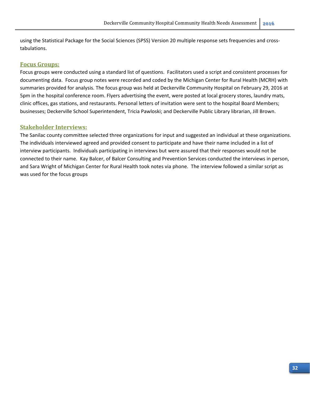using the Statistical Package for the Social Sciences (SPSS) Version 20 multiple response sets frequencies and cross‐ tabulations.

#### **Focus Groups:**

Focus groups were conducted using a standard list of questions. Facilitators used a script and consistent processes for documenting data. Focus group notes were recorded and coded by the Michigan Center for Rural Health (MCRH) with summaries provided for analysis. The focus group was held at Deckerville Community Hospital on February 29, 2016 at 5pm in the hospital conference room. Flyers advertising the event, were posted at local grocery stores, laundry mats, clinic offices, gas stations, and restaurants. Personal letters of invitation were sent to the hospital Board Members; businesses; Deckerville School Superintendent, Tricia Pawloski; and Deckerville Public Library librarian, Jill Brown.

#### **Stakeholder Interviews:**

The Sanilac county committee selected three organizations for input and suggested an individual at these organizations. The individuals interviewed agreed and provided consent to participate and have their name included in a list of interview participants. Individuals participating in interviews but were assured that their responses would not be connected to their name. Kay Balcer, of Balcer Consulting and Prevention Services conducted the interviews in person, and Sara Wright of Michigan Center for Rural Health took notes via phone. The interview followed a similar script as was used for the focus groups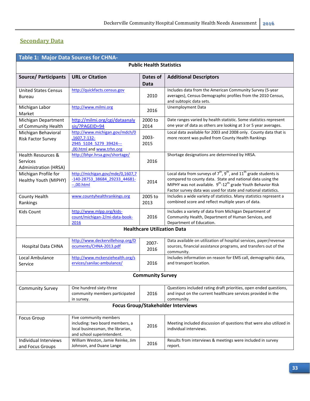# **Secondary Data**

| <b>Table 1: Major Data Sources for CHNA-</b>                       |                                                                                                                              |                                    |                                                                                                                                                                                                                                                                                                          |  |  |  |  |
|--------------------------------------------------------------------|------------------------------------------------------------------------------------------------------------------------------|------------------------------------|----------------------------------------------------------------------------------------------------------------------------------------------------------------------------------------------------------------------------------------------------------------------------------------------------------|--|--|--|--|
| <b>Public Health Statistics</b>                                    |                                                                                                                              |                                    |                                                                                                                                                                                                                                                                                                          |  |  |  |  |
| <b>Source/ Participants</b>                                        | <b>URL or Citation</b>                                                                                                       | Dates of<br>Data                   | <b>Additional Descriptors</b>                                                                                                                                                                                                                                                                            |  |  |  |  |
| <b>United States Census</b><br><b>Bureau</b>                       | http://quickfacts.census.gov                                                                                                 | 2010                               | Includes data from the American Community Survey (5-year<br>averages), Census Demographic profiles from the 2010 Census,<br>and subtopic data sets.                                                                                                                                                      |  |  |  |  |
| Michigan Labor<br>Market                                           | http://www.milmi.org                                                                                                         | 2016                               | <b>Unemployment Data</b>                                                                                                                                                                                                                                                                                 |  |  |  |  |
| Michigan Department<br>of Community Health                         | http://milmi.org/cgi/dataanaly<br>sis/?PAGEID=94                                                                             | 2000 to<br>2014                    | Date ranges varied by health statistic. Some statistics represent<br>one year of data as others are looking at 3 or 5 year averages.                                                                                                                                                                     |  |  |  |  |
| Michigan Behavioral<br><b>Risk Factor Survey</b>                   | http://www.michigan.gov/mdch/0<br>,1607,7-132-<br>2945 5104 5279 39424---<br>.00.html and www.trhn.org                       | 2003-<br>2015                      | Local data available for 2003 and 2008 only. County data that is<br>more recent was pulled from County Health Rankings                                                                                                                                                                                   |  |  |  |  |
| <b>Health Resources &amp;</b><br>Services<br>Administration (HRSA) | http://bhpr.hrsa.gov/shortage/                                                                                               | 2016                               | Shortage designations are determined by HRSA.                                                                                                                                                                                                                                                            |  |  |  |  |
| Michigan Profile for<br>Healthy Youth (MIPHY)                      | http://michigan.gov/mde/0,1607,7<br>-140-28753 38684 29233 44681-<br>$-.00.html$                                             | 2014                               | Local data from surveys of $7^{th}$ , $9^{th}$ , and $11^{th}$ grade students is<br>compared to county data. State and national data using the<br>MIPHY was not available. 9 <sup>th</sup> -12 <sup>th</sup> grade Youth Behavior Risk<br>Factor survey data was used for state and national statistics. |  |  |  |  |
| County Health<br>Rankings                                          | www.countyhealthrankings.org                                                                                                 | 2005 to<br>2013                    | Includes a wide variety of statistics. Many statistics represent a<br>combined score and reflect multiple years of data.                                                                                                                                                                                 |  |  |  |  |
| Kids Count                                                         | http://www.mlpp.org/kids-<br>count/michigan-2/mi-data-book-<br>2016                                                          | 2016                               | Includes a variety of data from Michigan Department of<br>Community Health, Department of Human Services, and<br>Department of Education.                                                                                                                                                                |  |  |  |  |
|                                                                    |                                                                                                                              | <b>Healthcare Utilization Data</b> |                                                                                                                                                                                                                                                                                                          |  |  |  |  |
| <b>Hospital Data CHNA</b>                                          | http://www.deckervillehosp.org/D<br>ocuments/CHNA-2013.pdf                                                                   | 2007-<br>2016                      | Data available on utilization of hospital services, payer/revenue<br>sources, financial assistance programs, and transfers out of the<br>community.                                                                                                                                                      |  |  |  |  |
| Local Ambulance<br>Service                                         | http://www.mckenziehealth.org/s<br>ervices/sanilac-ambulance/                                                                | 2016                               | Includes information on reason for EMS call, demographic data,<br>and transport location.                                                                                                                                                                                                                |  |  |  |  |
|                                                                    |                                                                                                                              | <b>Community Survey</b>            |                                                                                                                                                                                                                                                                                                          |  |  |  |  |
| <b>Community Survey</b>                                            | One hundred sixty-three<br>community members participated<br>in survey.                                                      | 2016                               | Questions included rating draft priorities, open ended questions,<br>and input on the current healthcare services provided in the<br>community.                                                                                                                                                          |  |  |  |  |
|                                                                    |                                                                                                                              |                                    | Focus Group/Stakeholder Interviews                                                                                                                                                                                                                                                                       |  |  |  |  |
| <b>Focus Group</b>                                                 | Five community members<br>including: two board members, a<br>local businessman, the librarian,<br>and school superintendent. | 2016                               | Meeting included discussion of questions that were also utilized in<br>individual interviews.                                                                                                                                                                                                            |  |  |  |  |
| Individual Interviews<br>and Focus Groups                          | William Weston, Jamie Reinke, Jim<br>Johnson, and Duane Lange                                                                | 2016                               | Results from interviews & meetings were included in survey<br>report.                                                                                                                                                                                                                                    |  |  |  |  |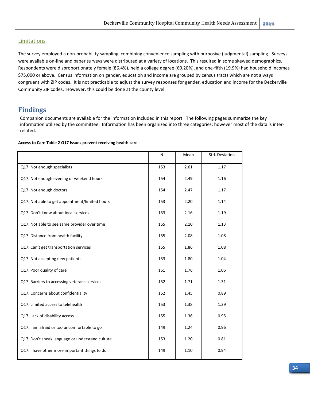#### **Limitations**

The survey employed a non-probability sampling, combining convenience sampling with purposive (judgmental) sampling. Surveys were available on-line and paper surveys were distributed at a variety of locations. This resulted in some skewed demographics. Respondents were disproportionately female (86.4%), held a college degree (60.20%), and one‐fifth (19.9%) had household incomes \$75,000 or above. Census information on gender, education and income are grouped by census tracts which are not always congruent with ZIP codes. It is not practicable to adjust the survey responses for gender, education and income for the Deckerville Community ZIP codes. However, this could be done at the county level.

## **Findings**

Companion documents are available for the information included in this report. The following pages summarize the key information utilized by the committee. Information has been organized into three categories; however most of the data is interrelated.

|  |  | <b>Access to Care Table 2 Q17 Issues prevent receiving health care</b> |  |  |  |
|--|--|------------------------------------------------------------------------|--|--|--|
|--|--|------------------------------------------------------------------------|--|--|--|

|                                                 | N   | Mean | Std. Deviation |
|-------------------------------------------------|-----|------|----------------|
| Q17. Not enough specialists                     | 153 | 2.61 | 1.17           |
| Q17. Not enough evening or weekend hours        | 154 | 2.49 | 1.16           |
| Q17. Not enough doctors                         | 154 | 2.47 | 1.17           |
| Q17. Not able to get appointment/limited hours  | 153 | 2.20 | 1.14           |
| Q17. Don't know about local services            | 153 | 2.16 | 1.19           |
| Q17. Not able to see same provider over time    | 155 | 2.10 | 1.13           |
| Q17. Distance from health facility              | 155 | 2.08 | 1.08           |
| Q17. Can't get transportation services          | 155 | 1.86 | 1.08           |
| Q17. Not accepting new patients                 | 153 | 1.80 | 1.04           |
| Q17. Poor quality of care                       | 151 | 1.76 | 1.06           |
| Q17. Barriers to accessing veterans services    | 152 | 1.71 | 1.31           |
| Q17. Concerns about confidentiality             | 152 | 1.45 | 0.89           |
| Q17. Limited access to telehealth               | 153 | 1.38 | 1.29           |
| Q17. Lack of disability access                  | 155 | 1.36 | 0.95           |
| Q17. I am afraid or too uncomfortable to go     | 149 | 1.24 | 0.96           |
| Q17. Don't speak language or understand culture | 153 | 1.20 | 0.81           |
| Q17. I have other more important things to do   | 149 | 1.10 | 0.94           |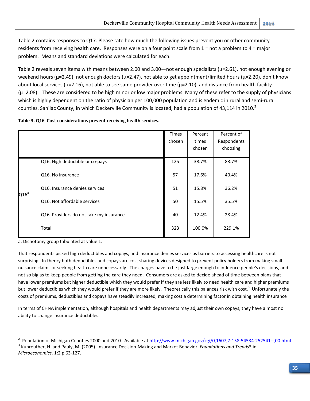Table 2 contains responses to Q17. Please rate how much the following issues prevent you or other community residents from receiving health care. Responses were on a four point scale from 1 = not a problem to 4 = major problem. Means and standard deviations were calculated for each.

Table 2 reveals seven items with means between 2.00 and 3.00—not enough specialists ( $\mu$ =2.61), not enough evening or weekend hours ( $\mu$ =2.49), not enough doctors ( $\mu$ =2.47), not able to get appointment/limited hours ( $\mu$ =2.20), don't know about local services ( $\mu$ =2.16), not able to see same provider over time ( $\mu$ =2.10), and distance from health facility (μ=2.08). These are considered to be high minor or low major problems. Many of these refer to the supply of physicians which is highly dependent on the ratio of physician per 100,000 population and is endemic in rural and semi-rural counties. Sanilac County, in which Deckerville Community is located, had a population of 43,114 in 2010.<sup>2</sup>

|  |  | Table 3. Q16 Cost considerations prevent receiving health services. |
|--|--|---------------------------------------------------------------------|
|--|--|---------------------------------------------------------------------|

|         |                                         | <b>Times</b><br>chosen | Percent<br>times<br>chosen | Percent of<br>Respondents<br>choosing |
|---------|-----------------------------------------|------------------------|----------------------------|---------------------------------------|
|         | Q16. High deductible or co-pays         | 125                    | 38.7%                      | 88.7%                                 |
|         | Q16. No insurance                       | 57                     | 17.6%                      | 40.4%                                 |
|         | Q16. Insurance denies services          | 51                     | 15.8%                      | 36.2%                                 |
| $Q16^a$ | Q16. Not affordable services            | 50                     | 15.5%                      | 35.5%                                 |
|         | Q16. Providers do not take my insurance | 40                     | 12.4%                      | 28.4%                                 |
|         | Total                                   | 323                    | 100.0%                     | 229.1%                                |

a. Dichotomy group tabulated at value 1.

That respondents picked high deductibles and copays, and insurance denies services as barriers to accessing healthcare is not surprising. In theory both deductibles and copays are cost sharing devices designed to prevent policy holders from making small nuisance claims or seeking health care unnecessarily. The charges have to be just large enough to influence people's decisions, and not so big as to keep people from getting the care they need. Consumers are asked to decide ahead of time between plans that have lower premiums but higher deductible which they would prefer if they are less likely to need health care and higher premiums but lower deductibles which they would prefer if they are more likely. Theoretically this balances risk with cost.<sup>3</sup> Unfortunately the costs of premiums, deductibles and copays have steadily increased, making cost a determining factor in obtaining health insurance

In terms of CHNA implementation, although hospitals and health departments may adjust their own copays, they have almost no ability to change insurance deductibles.

<sup>2</sup> <sup>2</sup> Population of Michigan Counties 2000 and 2010. Available at  $\frac{http://www.michigan.gov/cgi/0,1607,7-158-54534-252541-.,00.html}{$ <br><sup>3</sup> Kunreuther, H. and Pauly, M. (2005). Insurance Decision-Making and Market Behavior. *Foundations and Trend* 

*Microeconomics*. 1:2 p 63‐127.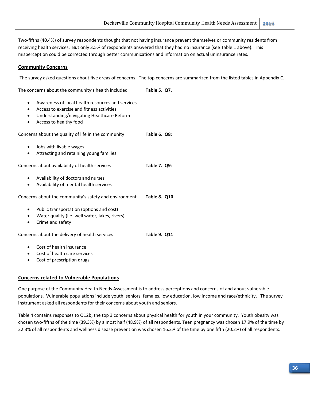Two‐fifths (40.4%) of survey respondents thought that not having insurance prevent themselves or community residents from receiving health services. But only 3.5% of respondents answered that they had no insurance (see Table 1 above). This misperception could be corrected through better communications and information on actual uninsurance rates.

#### **Community Concerns**

The survey asked questions about five areas of concerns. The top concerns are summarized from the listed tables in Appendix C.

The concerns about the community's health included **Table 5. Q7.** :

- Awareness of local health resources and services
- Access to exercise and fitness activities
- Understanding/navigating Healthcare Reform
- Access to healthy food

Concerns about the quality of life in the community **Table 6. Q8**: Jobs with livable wages Attracting and retaining young families Concerns about availability of health services **Table 7. Q9**: Availability of doctors and nurses Availability of mental health services Concerns about the community's safety and environment **Table 8. Q10** Public transportation (options and cost) Water quality (i.e. well water, lakes, rivers) Crime and safety Concerns about the delivery of health services **Table 9. Q11** Cost of health insurance

 Cost of health care services Cost of prescription drugs

# **Concerns related to Vulnerable Populations**

One purpose of the Community Health Needs Assessment is to address perceptions and concerns of and about vulnerable populations. Vulnerable populations include youth, seniors, females, low education, low income and race/ethnicity. The survey instrument asked all respondents for their concerns about youth and seniors.

Table 4 contains responses to Q12b, the top 3 concerns about physical health for youth in your community. Youth obesity was chosen two‐fifths of the time (39.3%) by almost half (48.9%) of all respondents. Teen pregnancy was chosen 17.9% of the time by 22.3% of all respondents and wellness disease prevention was chosen 16.2% of the time by one fifth (20.2%) of all respondents.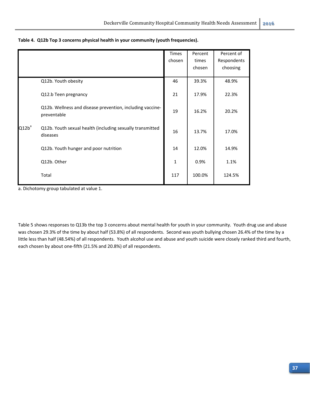|          |                                                                          | Times        | Percent | Percent of  |
|----------|--------------------------------------------------------------------------|--------------|---------|-------------|
|          |                                                                          | chosen       | times   | Respondents |
|          |                                                                          |              | chosen  | choosing    |
|          | Q12b. Youth obesity                                                      | 46           | 39.3%   | 48.9%       |
|          | Q12.b Teen pregnancy                                                     | 21           | 17.9%   | 22.3%       |
|          | Q12b. Wellness and disease prevention, including vaccine-<br>preventable | 19           | 16.2%   | 20.2%       |
| $Q12b^a$ | Q12b. Youth sexual health (including sexually transmitted<br>diseases    | 16           | 13.7%   | 17.0%       |
|          | Q12b. Youth hunger and poor nutrition                                    | 14           | 12.0%   | 14.9%       |
|          | Q12b. Other                                                              | $\mathbf{1}$ | 0.9%    | 1.1%        |
|          | Total                                                                    | 117          | 100.0%  | 124.5%      |
|          |                                                                          |              |         |             |

**Table 4. Q12b Top 3 concerns physical health in your community (youth frequencies).**

a. Dichotomy group tabulated at value 1.

Table 5 shows responses to Q13b the top 3 concerns about mental health for youth in your community. Youth drug use and abuse was chosen 29.3% of the time by about half (53.8%) of all respondents. Second was youth bullying chosen 26.4% of the time by a little less than half (48.54%) of all respondents. Youth alcohol use and abuse and youth suicide were closely ranked third and fourth, each chosen by about one-fifth (21.5% and 20.8%) of all respondents.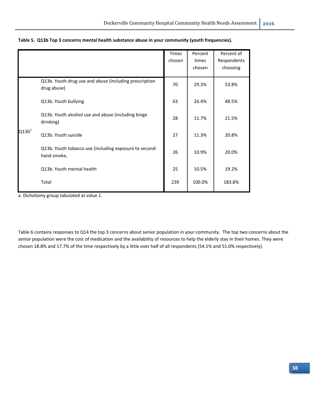|          |                                                                       | Times<br>chosen | Percent<br>times<br>chosen | Percent of<br>Respondents<br>choosing |
|----------|-----------------------------------------------------------------------|-----------------|----------------------------|---------------------------------------|
|          | Q13b. Youth drug use and abuse (including prescription<br>drug abuse) | 70              | 29.3%                      | 53.8%                                 |
|          | Q13b. Youth bullying                                                  | 63              | 26.4%                      | 48.5%                                 |
|          | Q13b. Youth alcohol use and abuse (including binge<br>drinking)       | 28              | 11.7%                      | 21.5%                                 |
| $Q13b^a$ | Q13b. Youth suicide                                                   | 27              | 11.3%                      | 20.8%                                 |
|          | Q13b. Youth tobacco use (including exposure to second-<br>hand smoke, | 26              | 10.9%                      | 20.0%                                 |
|          | Q13b. Youth mental health                                             | 25              | 10.5%                      | 19.2%                                 |
|          | Total                                                                 | 239             | 100.0%                     | 183.8%                                |

|  | Table 5. Q13b Top 3 concerns mental health substance abuse in your community (youth frequencies). |  |  |  |  |  |  |
|--|---------------------------------------------------------------------------------------------------|--|--|--|--|--|--|
|--|---------------------------------------------------------------------------------------------------|--|--|--|--|--|--|

a. Dichotomy group tabulated at value 1.

Table 6 contains responses to Q14 the top 3 concerns about senior population in your community. The top two concerns about the senior population were the cost of medication and the availability of resources to help the elderly stay in their homes. They were chosen 18.8% and 17.7% of the time respectively by a little over half of all respondents (54.1% and 51.0% respectively).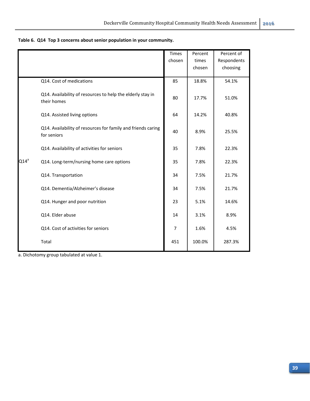|         |                                                                             | <b>Times</b>   | Percent | Percent of  |
|---------|-----------------------------------------------------------------------------|----------------|---------|-------------|
|         |                                                                             | chosen         | times   | Respondents |
|         |                                                                             |                | chosen  | choosing    |
|         | Q14. Cost of medications                                                    | 85             | 18.8%   | 54.1%       |
|         |                                                                             |                |         |             |
|         | Q14. Availability of resources to help the elderly stay in<br>their homes   | 80             | 17.7%   | 51.0%       |
|         | Q14. Assisted living options                                                | 64             | 14.2%   | 40.8%       |
|         | Q14. Availability of resources for family and friends caring<br>for seniors |                | 8.9%    | 25.5%       |
|         | Q14. Availability of activities for seniors                                 | 35             | 7.8%    | 22.3%       |
| $Q14^a$ | Q14. Long-term/nursing home care options                                    | 35             | 7.8%    | 22.3%       |
|         | Q14. Transportation                                                         | 34             | 7.5%    | 21.7%       |
|         | Q14. Dementia/Alzheimer's disease                                           | 34             | 7.5%    | 21.7%       |
|         | Q14. Hunger and poor nutrition                                              | 23             | 5.1%    | 14.6%       |
|         | Q14. Elder abuse                                                            | 14             | 3.1%    | 8.9%        |
|         | Q14. Cost of activities for seniors                                         | $\overline{7}$ | 1.6%    | 4.5%        |
|         | Total                                                                       | 451            | 100.0%  | 287.3%      |

**Table 6. Q14 Top 3 concerns about senior population in your community.**

a. Dichotomy group tabulated at value 1.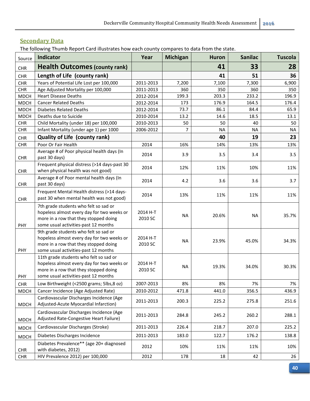# **Secondary Data**

The following Thumb Report Card illustrates how each county compares to data from the state.

| Source      | Indicator                                                                                                                                                             | Year                | <b>Michigan</b> | <b>Huron</b> | <b>Sanilac</b> | <b>Tuscola</b> |
|-------------|-----------------------------------------------------------------------------------------------------------------------------------------------------------------------|---------------------|-----------------|--------------|----------------|----------------|
| CHR         | <b>Health Outcomes (county rank)</b>                                                                                                                                  |                     |                 | 41           | 33             | 28             |
| CHR         | Length of Life (county rank)                                                                                                                                          |                     |                 | 41           | 51             | 36             |
| CHR         | Years of Potential Life Lost per 100,000                                                                                                                              | 2011-2013           | 7,200           | 7,100        | 7,300          | 6,900          |
| <b>CHR</b>  | Age Adjusted Mortality per 100,000                                                                                                                                    | 2011-2013           | 360             | 350          | 360            | 350            |
| <b>MDCH</b> | <b>Heart Disease Deaths</b>                                                                                                                                           | 2012-2014           | 199.3           | 203.3        | 233.2          | 196.9          |
| <b>MDCH</b> | <b>Cancer Related Deaths</b>                                                                                                                                          | 2012-2014           | 173             | 176.9        | 164.5          | 176.4          |
| <b>MDCH</b> | <b>Diabetes Related Deaths</b>                                                                                                                                        | 2012-2014           | 73.7            | 86.1         | 84.4           | 65.9           |
| <b>MDCH</b> | Deaths due to Suicide                                                                                                                                                 | 2010-2014           | 13.2            | 14.6         | 18.5           | 13.1           |
| <b>CHR</b>  | Child Mortality (under 18) per 100,000                                                                                                                                | 2010-2013           | 50              | 50           | 40             | 50             |
| CHR         | Infant Mortality (under age 1) per 1000                                                                                                                               | 2006-2012           | $\overline{7}$  | <b>NA</b>    | <b>NA</b>      | <b>NA</b>      |
| CHR         | <b>Quality of Life (county rank)</b>                                                                                                                                  |                     |                 | 40           | 19             | 23             |
| CHR         | Poor Or Fair Health                                                                                                                                                   | 2014                | 16%             | 14%          | 13%            | 13%            |
| CHR         | Average # of Poor physical health days (In<br>past 30 days)                                                                                                           | 2014                | 3.9             | 3.5          | 3.4            | 3.5            |
| CHR         | Frequent physical distress (>14 days-past 30<br>when physical health was not good)                                                                                    | 2014                | 12%             | 11%          | 10%            | 11%            |
| CHR         | Average # of Poor mental health days (In<br>past 30 days)                                                                                                             | 2014                | 4.2             | 3.6          | 3.6            | 3.7            |
| CHR         | Frequent Mental Health distress (>14 days-<br>past 30 when mental health was not good)                                                                                | 2014                | 13%             | 11%          | 11%            | 11%            |
| PHY         | 7th grade students who felt so sad or<br>hopeless almost every day for two weeks or<br>more in a row that they stopped doing<br>some usual activities-past 12 months  | 2014 H-T<br>2010 SC | <b>NA</b>       | 20.6%        | <b>NA</b>      | 35.7%          |
| PHY         | 9th grade students who felt so sad or<br>hopeless almost every day for two weeks or<br>more in a row that they stopped doing<br>some usual activities-past 12 months  | 2014 H-T<br>2010 SC | <b>NA</b>       | 23.9%        | 45.0%          | 34.3%          |
| PHY         | 11th grade students who felt so sad or<br>hopeless almost every day for two weeks or<br>more in a row that they stopped doing<br>some usual activities-past 12 months | 2014 H-T<br>2010 SC | <b>NA</b>       | 19.3%        | 34.0%          | 30.3%          |
| <b>CHR</b>  | Low Birthweight (<2500 grams; 5lbs,8 oz)                                                                                                                              | 2007-2013           | 8%              | 8%           | 7%             | 7%             |
| <b>MDCH</b> | Cancer Incidence (Age Adjusted Rate)                                                                                                                                  | 2010-2012           | 471.8           | 441.0        | 356.5          | 436.9          |
| <b>MDCH</b> | Cardiovascular Discharges Incidence (Age<br>Adjusted-Acute Myocardial Infarction)                                                                                     | 2011-2013           | 200.3           | 225.2        | 275.8          | 251.6          |
| <b>MDCH</b> | Cardiovascular Discharges Incidence (Age<br>Adjusted Rate-Congestive Heart Failure)                                                                                   | 2011-2013           | 284.8           | 245.2        | 260.2          | 288.1          |
| <b>MDCH</b> | Cardiovascular Discharges (Stroke)                                                                                                                                    | 2011-2013           | 226.4           | 218.7        | 207.0          | 225.2          |
| <b>MDCH</b> | Diabetes Discharges Incidence                                                                                                                                         | 2011-2013           | 183.0           | 122.7        | 176.2          | 138.8          |
| <b>CHR</b>  | Diabetes Prevalence** (age 20+ diagnosed<br>with diabetes, 2012)                                                                                                      | 2012                | 10%             | 11%          | 11%            | 10%            |
| <b>CHR</b>  | HIV Prevalence 2012) per 100,000                                                                                                                                      | 2012                | 178             | 18           | 42             | 26             |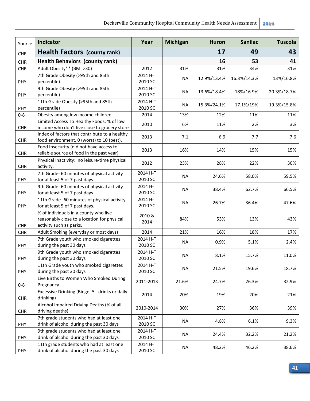| Source     | <b>Indicator</b>                                                                                                | Year                | <b>Michigan</b> | <b>Huron</b> | <b>Sanilac</b> | <b>Tuscola</b> |
|------------|-----------------------------------------------------------------------------------------------------------------|---------------------|-----------------|--------------|----------------|----------------|
| <b>CHR</b> | <b>Health Factors (county rank)</b>                                                                             |                     |                 | 17           | 49             | 43             |
| <b>CHR</b> | <b>Health Behaviors (county rank)</b>                                                                           |                     |                 | 16           | 53             | 41             |
| <b>CHR</b> | Adult Obesity** (BMI >30)                                                                                       | 2012                | 31%             | 31%          | 34%            | 31%            |
|            | 7th Grade Obesity (>95th and 85th                                                                               | 2014 H-T            |                 |              |                |                |
| PHY        | percentile)                                                                                                     | 2010 SC             | <b>NA</b>       | 12.9%/13.4%  | 16.3%/14.3%    | 13%/16.8%      |
| PHY        | 9th Grade Obesity (>95th and 85th<br>percentile)                                                                | 2014 H-T<br>2010 SC | <b>NA</b>       | 13.6%/18.4%  | 18%/16.9%      | 20.3%/18.7%    |
| PHY        | 11th Grade Obesity (>95th and 85th<br>percentile)                                                               | 2014 H-T<br>2010 SC | <b>NA</b>       | 15.3%/24.1%  | 17.1%/19%      | 19.3%/15.8%    |
| $0 - 8$    | Obesity among low income children                                                                               | 2014                | 13%             | 12%          | 11%            | 11%            |
| CHR        | Limited Access To Healthy Foods: % of low<br>income who don't live close to grocery store                       | 2010                | 6%              | 11%          | 2%             | 3%             |
| CHR        | Index of factors that contribute to a healthy<br>food environment, 0 (worst) to 10 (best).                      | 2013                | 7.1             | 6.9          | 7.7            | 7.6            |
| CHR        | Food Insecurity (did not have access to<br>reliable source of food in the past year)                            | 2013                | 16%             | 14%          | 15%            | 15%            |
| <b>CHR</b> | Physical Inactivity: no leisure-time physical<br>activity.                                                      | 2012                | 23%             | 28%          | 22%            | 30%            |
| PHY        | 7th Grade-60 minutes of physical activity<br>for at least 5 of 7 past days.                                     | 2014 H-T<br>2010 SC | <b>NA</b>       | 24.6%        | 58.0%          | 59.5%          |
| PHY        | 9th Grade-60 minutes of physical activity<br>for at least 5 of 7 past days.                                     | 2014 H-T<br>2010 SC | <b>NA</b>       | 38.4%        | 62.7%          | 66.5%          |
| PHY        | 11th Grade-60 minutes of physical activity<br>for at least 5 of 7 past days.                                    | 2014 H-T<br>2010 SC | <b>NA</b>       | 26.7%        | 36.4%          | 47.6%          |
| <b>CHR</b> | % of individuals in a county who live<br>reasonably close to a location for physical<br>activity such as parks. | 2010 &<br>2014      | 84%             | 53%          | 13%            | 43%            |
| <b>CHR</b> | Adult Smoking (everyday or most days)                                                                           | 2014                | 21%             | 16%          | 18%            | 17%            |
| PHY        | 7th Grade youth who smoked cigarettes<br>during the past 30 days                                                | 2014 H-T<br>2010 SC | <b>NA</b>       | 0.9%         | 5.1%           | 2.4%           |
| PHY        | 9th Grade youth who smoked cigarettes<br>during the past 30 days                                                | 2014 H-T<br>2010 SC | <b>NA</b>       | 8.1%         | 15.7%          | 11.0%          |
| PHY        | 11th Grade youth who smoked cigarettes<br>during the past 30 days                                               | 2014 H-T<br>2010 SC | <b>NA</b>       | 21.5%        | 19.6%          | 18.7%          |
| $0 - 8$    | Live Births to Women Who Smoked During<br>Pregnancy                                                             | 2011-2013           | 21.6%           | 24.7%        | 26.3%          | 32.9%          |
| <b>CHR</b> | Excessive Drinking (Binge- 5+ drinks or daily<br>drinking)                                                      | 2014                | 20%             | 19%          | 20%            | 21%            |
| <b>CHR</b> | Alcohol Impaired Driving Deaths (% of all<br>driving deaths)                                                    | 2010-2014           | 30%             | 27%          | 36%            | 39%            |
| PHY        | 7th grade students who had at least one<br>drink of alcohol during the past 30 days                             | 2014 H-T<br>2010 SC | <b>NA</b>       | 4.8%         | 6.1%           | 9.3%           |
| PHY        | 9th grade students who had at least one<br>drink of alcohol during the past 30 days                             | 2014 H-T<br>2010 SC | NA              | 24.4%        | 32.2%          | 21.2%          |
| PHY        | 11th grade students who had at least one<br>drink of alcohol during the past 30 days                            | 2014 H-T<br>2010 SC | <b>NA</b>       | 48.2%        | 46.2%          | 38.6%          |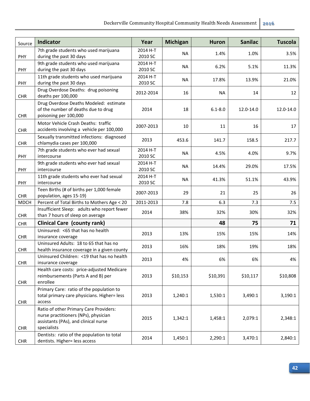| Source      | Indicator                                                                     | Year                | <b>Michigan</b> | <b>Huron</b> | <b>Sanilac</b> | <b>Tuscola</b> |
|-------------|-------------------------------------------------------------------------------|---------------------|-----------------|--------------|----------------|----------------|
|             | 7th grade students who used marijuana                                         | 2014 H-T            | <b>NA</b>       | 1.4%         | 1.0%           | 3.5%           |
| PHY         | during the past 30 days                                                       | 2010 SC             |                 |              |                |                |
|             | 9th grade students who used marijuana                                         | 2014 H-T            | <b>NA</b>       | 6.2%         | 5.1%           | 11.3%          |
| PHY         | during the past 30 days                                                       | 2010 SC             |                 |              |                |                |
|             | 11th grade students who used marijuana                                        | 2014 H-T            | <b>NA</b>       | 17.8%        | 13.9%          | 21.0%          |
| PHY         | during the past 30 days                                                       | 2010 SC             |                 |              |                |                |
| <b>CHR</b>  | Drug Overdose Deaths: drug poisoning<br>deaths per 100,000                    | 2012-2014           | 16              | <b>NA</b>    | 14             | 12             |
|             | Drug Overdose Deaths Modeled: estimate<br>of the number of deaths due to drug | 2014                | 18              | $6.1 - 8.0$  | 12.0-14.0      | 12.0-14.0      |
| <b>CHR</b>  | poisoning per 100,000                                                         |                     |                 |              |                |                |
|             | Motor Vehicle Crash Deaths: traffic                                           |                     |                 |              |                |                |
| <b>CHR</b>  | accidents involving a vehicle per 100,000                                     | 2007-2013           | 10              | 11           | 16             | 17             |
|             | Sexually transmitted infections: diagnosed                                    | 2013                | 453.6           | 141.7        | 158.5          | 217.7          |
| <b>CHR</b>  | chlamydia cases per 100,000                                                   |                     |                 |              |                |                |
|             | 7th grade students who ever had sexual                                        | 2014 H-T            | <b>NA</b>       | 4.5%         | 4.0%           | 9.7%           |
| <b>PHY</b>  | intercourse                                                                   | 2010 SC             |                 |              |                |                |
| PHY         | 9th grade students who ever had sexual<br>intercourse                         | 2014 H-T<br>2010 SC | <b>NA</b>       | 14.4%        | 29.0%          | 17.5%          |
|             | 11th grade students who ever had sexual                                       | 2014 H-T            |                 |              |                |                |
| PHY         | intercourse                                                                   | 2010 SC             | <b>NA</b>       | 41.3%        | 51.1%          | 43.9%          |
|             | Teen Births (# of births per 1,000 female                                     |                     |                 |              |                |                |
| <b>CHR</b>  | population, ages 15-19)                                                       | 2007-2013           | 29              | 21           | 25             | 26             |
| <b>MDCH</b> | Percent of Total Births to Mothers Age < 20                                   | 2011-2013           | 7.8             | 6.3          | 7.3            | 7.5            |
|             | Insufficient Sleep: adults who report fewer                                   | 2014                | 38%             | 32%          | 30%            | 32%            |
| <b>CHR</b>  | than 7 hours of sleep on average                                              |                     |                 |              |                |                |
| <b>CHR</b>  | <b>Clinical Care (county rank)</b>                                            |                     |                 | 48           | 75             | 71             |
|             | Uninsured: <65 that has no health                                             | 2013                | 13%             | 15%          | 15%            | 14%            |
| <b>CHR</b>  | insurance coverage                                                            |                     |                 |              |                |                |
|             | Uninsured Adults: 18 to 65 that has no                                        | 2013                | 16%             | 18%          | 19%            | 18%            |
| <b>CHR</b>  | health insurance coverage in a given county                                   |                     |                 |              |                |                |
|             | Uninsured Children: <19 that has no health                                    | 2013                | 4%              | 6%           | 6%             | 4%             |
| <b>CHR</b>  | insurance coverage<br>Health care costs: price-adjusted Medicare              |                     |                 |              |                |                |
|             | reimbursements (Parts A and B) per                                            | 2013                | \$10,153        | \$10,391     | \$10,117       | \$10,808       |
| <b>CHR</b>  | enrollee                                                                      |                     |                 |              |                |                |
|             | Primary Care: ratio of the population to                                      |                     |                 |              |                |                |
|             | total primary care physicians. Higher= less                                   | 2013                | 1,240:1         | 1,530:1      | 3,490:1        | 3,190:1        |
| <b>CHR</b>  | access                                                                        |                     |                 |              |                |                |
|             | Ratio of other Primary Care Providers:                                        |                     |                 |              |                |                |
|             | nurse practitioners (NPs), physician                                          | 2015                | 1,342:1         | 1,458:1      | 2,079:1        | 2,348:1        |
|             | assistants (PAs), and clinical nurse                                          |                     |                 |              |                |                |
| <b>CHR</b>  | specialists                                                                   |                     |                 |              |                |                |
|             | Dentists: ratio of the population to total                                    | 2014                | 1,450:1         | 2,290:1      | 3,470:1        | 2,840:1        |
| <b>CHR</b>  | dentists. Higher= less access                                                 |                     |                 |              |                |                |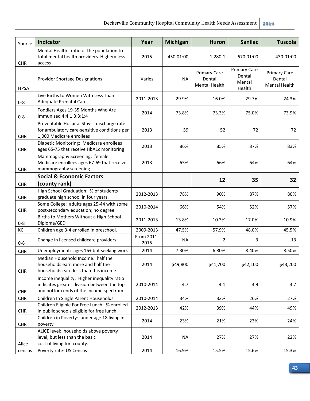| Source      | Indicator                                                                                                                          | Year               | <b>Michigan</b> | <b>Huron</b>                                          | <b>Sanilac</b>                                    | <b>Tuscola</b>                          |
|-------------|------------------------------------------------------------------------------------------------------------------------------------|--------------------|-----------------|-------------------------------------------------------|---------------------------------------------------|-----------------------------------------|
| <b>CHR</b>  | Mental Health: ratio of the population to<br>total mental health providers. Higher= less<br>access                                 | 2015               | 450:01:00       | 1,280:1                                               | 670:01:00                                         | 430:01:00                               |
| <b>HPSA</b> | <b>Provider Shortage Designations</b>                                                                                              | Varies             | <b>NA</b>       | <b>Primary Care</b><br>Dental<br><b>Mental Health</b> | <b>Primary Care</b><br>Dental<br>Mental<br>Health | Primary Care<br>Dental<br>Mental Health |
| $0 - 8$     | Live Births to Women With Less Than<br>Adequate Prenatal Care                                                                      | 2011-2013          | 29.9%           | 16.0%                                                 | 29.7%                                             | 24.3%                                   |
| $0 - 8$     | Toddlers Ages 19-35 Months Who Are<br>Immunized 4:4:1:3:3:1:4                                                                      | 2014               | 73.8%           | 73.3%                                                 | 75.0%                                             | 73.9%                                   |
| CHR         | Preventable Hospital Stays: discharge rate<br>for ambulatory care-sensitive conditions per<br>1,000 Medicare enrollees             | 2013               | 59              | 52                                                    | 72                                                | 72                                      |
| CHR         | Diabetic Monitoring: Medicare enrollees<br>ages 65-75 that receive HbA1c monitoring                                                | 2013               | 86%             | 85%                                                   | 87%                                               | 83%                                     |
| <b>CHR</b>  | Mammography Screening: female<br>Medicare enrollees ages 67-69 that receive<br>mammography screening                               | 2013               | 65%             | 66%                                                   | 64%                                               | 64%                                     |
|             | <b>Social &amp; Economic Factors</b>                                                                                               |                    |                 | 12                                                    | 35                                                | 32                                      |
| <b>CHR</b>  | (county rank)                                                                                                                      |                    |                 |                                                       |                                                   |                                         |
| <b>CHR</b>  | High School Graduation: % of students<br>graduate high school in four years.                                                       | 2012-2013          | 78%             | 90%                                                   | 87%                                               | 80%                                     |
| <b>CHR</b>  | Some College: adults ages 25-44 with some<br>post-secondary education; no degree                                                   | 2010-2014          | 66%             | 54%                                                   | 52%                                               | 57%                                     |
| $0 - 8$     | Births to Mothers Without a High School<br>Diploma/GED                                                                             | 2011-2013          | 13.8%           | 10.3%                                                 | 17.0%                                             | 10.9%                                   |
| KC          | Children age 3-4 enrolled in preschool.                                                                                            | 2009-2013          | 47.5%           | 57.9%                                                 | 48.0%                                             | 45.5%                                   |
| $0 - 8$     | Change in licensed childcare providers                                                                                             | From 2011-<br>2015 | <b>NA</b>       | $-2$                                                  | -3                                                | $-13$                                   |
| <b>CHR</b>  | Unemployment: ages 16+ but seeking work                                                                                            | 2014               | 7.30%           | 6.80%                                                 | 8.40%                                             | 8.50%                                   |
| <b>CHR</b>  | Median Household Income: half the<br>households earn more and half the<br>households earn less than this income.                   | 2014               | \$49,800        | \$41,700                                              | \$42,100                                          | \$43,200                                |
| <b>CHR</b>  | Income inequality: Higher inequality ratio<br>indicates greater division between the top<br>and bottom ends of the income spectrum | 2010-2014          | 4.7             | 4.1                                                   | 3.9                                               | 3.7                                     |
| <b>CHR</b>  | Children In Single Parent Households                                                                                               | 2010-2014          | 34%             | 33%                                                   | 26%                                               | 27%                                     |
| <b>CHR</b>  | Children Eligible For Free Lunch: % enrolled<br>in public schools eligible for free lunch                                          | 2012-2013          | 42%             | 39%                                                   | 44%                                               | 49%                                     |
| <b>CHR</b>  | Children in Poverty: under age 18 living in<br>poverty                                                                             | 2014               | 23%             | 21%                                                   | 23%                                               | 24%                                     |
| Alice       | ALICE level: households above poverty<br>level, but less than the basic<br>cost of living for county.                              | 2014               | <b>NA</b>       | 27%                                                   | 27%                                               | 22%                                     |
| census      | Poverty rate- US Census                                                                                                            | 2014               | 16.9%           | 15.5%                                                 | 15.6%                                             | 15.3%                                   |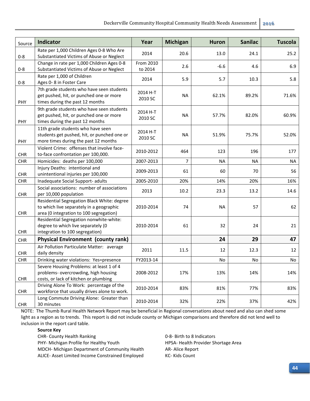| Source     | <b>Indicator</b>                                                                                                                   | Year                 | <b>Michigan</b> | <b>Huron</b> | <b>Sanilac</b> | <b>Tuscola</b> |
|------------|------------------------------------------------------------------------------------------------------------------------------------|----------------------|-----------------|--------------|----------------|----------------|
| $0 - 8$    | Rate per 1,000 Children Ages 0-8 Who Are<br>Substantiated Victims of Abuse or Neglect                                              | 2014                 | 20.6            | 13.0         | 24.1           | 25.2           |
| $0 - 8$    | Change in rate per 1,000 Children Ages 0-8<br>Substantiated Victims of Abuse or Neglect                                            | From 2010<br>to 2014 | 2.6             | $-6.6$       | 4.6            | 6.9            |
| $0 - 8$    | Rate per 1,000 of Children<br>Ages 0-8 in Foster Care                                                                              | 2014                 | 5.9             | 5.7          | 10.3           | 5.8            |
| PHY        | 7th grade students who have seen students<br>get pushed, hit, or punched one or more<br>times during the past 12 months            | 2014 H-T<br>2010 SC  | <b>NA</b>       | 62.1%        | 89.2%          | 71.6%          |
| PHY        | 9th grade students who have seen students<br>get pushed, hit, or punched one or more<br>times during the past 12 months            | 2014 H-T<br>2010 SC  | <b>NA</b>       | 57.7%        | 82.0%          | 60.9%          |
| <b>PHY</b> | 11th grade students who have seen<br>students get pushed, hit, or punched one or<br>more times during the past 12 months           | 2014 H-T<br>2010 SC  | <b>NA</b>       | 51.9%        | 75.7%          | 52.0%          |
| <b>CHR</b> | Violent Crime: offenses that involve face-<br>to-face confrontation per 100,000.                                                   | 2010-2012            | 464             | 123          | 196            | 177            |
| <b>CHR</b> | Homicides: deaths per 100,000                                                                                                      | 2007-2013            | $\overline{7}$  | <b>NA</b>    | <b>NA</b>      | <b>NA</b>      |
| <b>CHR</b> | Injury Deaths: intentional and<br>unintentional injuries per 100,000                                                               | 2009-2013            | 61              | 60           | 70             | 56             |
| <b>CHR</b> | Inadequate Social Support- adults                                                                                                  | 2005-2010            | 20%             | 14%          | 20%            | 16%            |
| <b>CHR</b> | Social associations: number of associations<br>per 10,000 population                                                               | 2013                 | 10.2            | 23.3         | 13.2           | 14.6           |
| <b>CHR</b> | Residential Segregation Black White: degree<br>to which live separately in a geographic<br>area (0 integration to 100 segregation) | 2010-2014            | 74              | <b>NA</b>    | 57             | 62             |
| <b>CHR</b> | Residential Segregation nonwhite-white:<br>degree to which live separately (0<br>integration to 100 segregation)                   | 2010-2014            | 61              | 32           | 24             | 21             |
| <b>CHR</b> | <b>Physical Environment (county rank)</b>                                                                                          |                      |                 | 24           | 29             | 47             |
| <b>CHR</b> | Air Pollution Particulate Matter: average<br>daily density                                                                         | 2011                 | 11.5            | 12           | 12.3           | 12             |
| <b>CHR</b> | Drinking water violations: Yes=presence                                                                                            | FY2013-14            |                 | No           | <b>No</b>      | No             |
| <b>CHR</b> | Severe Housing Problems: at least 1 of 4<br>problems- overcrowding, high housing<br>costs, or lack of kitchen or plumbing          | 2008-2012            | 17%             | 13%          | 14%            | 14%            |
| <b>CHR</b> | Driving Alone To Work: percentage of the<br>workforce that usually drives alone to work.                                           | 2010-2014            | 83%             | 81%          | 77%            | 83%            |
| <b>CHR</b> | Long Commute Driving Alone: Greater than<br>30 minutes                                                                             | 2010-2014            | 32%             | 22%          | 37%            | 42%            |

NOTE: The Thumb Rural Health Network Report may be beneficial in Regional conversations about need and also can shed some light as a region as to trends. This report is did not include county or Michigan comparisons and therefore did not lend well to inclusion in the report card table.

#### **Source Key**

CHR- County Health Ranking **CHR**- County Health Ranking **1966 1967 1968 0**-8- Birth to 8 Indicators

MDCH- Michigan Department of Community Health AR-Alice Report

ALICE- Asset Limited Income Constrained Employed KC- Kids Count

PHY- Michigan Profile for Healthy Youth HPSA- Health Provider Shortage Area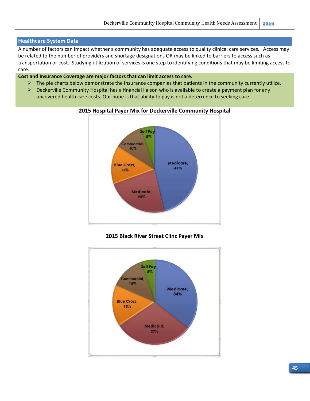#### **Healthcare System Data**

A number of factors can impact whether a community has adequate access to quality clinical care services. Access may be related to the number of providers and shortage designations OR may be linked to barriers to access such as transportation or cost. Studying utilization of services is one step to identifying conditions that may be limiting access to care.

#### **Cost and Insurance Coverage are major factors that can limit access to care.**

- $\triangleright$  The pie charts below demonstrate the insurance companies that patients in the community currently utilize.
- $\triangleright$  Deckerville Community Hospital has a financial liaison who is available to create a payment plan for any uncovered health care costs. Our hope is that ability to pay is not a deterrence to seeking care.



#### **2015 Hospital Payer Mix for Deckerville Community Hospital**

#### **2015 Black River Street Clinc Payer Mix**

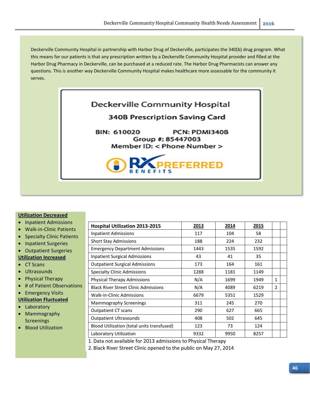Deckerville Community Hospital in partnership with Harbor Drug of Deckerville, participates the 340(b) drug program. What this means for our patients is that any prescription written by a Deckerville Community Hospital provider and filled at the Harbor Drug Pharmacy in Deckerville, can be purchased at a reduced rate. The Harbor Drug Pharmacists can answer any questions. This is another way Deckerville Community Hospital makes healthcare more assessable for the community it serves.



#### **Utilization Decreased**

- Inpatient Admissions
- Walk-in-Clinic Patients
- Specialty Clinic Patients
- Inpatient Surgeries
- Outpatient Surgeries
- **Utilization Increased**
- CT Scans
- Ultrasounds
- Physical Therapy
- # of Patient Observations
- Emergency Visits
- **Utilization Fluctuated**
- Laboratory
- Mammography Screenings
- Blood Utilization

| <b>Hospital Utilization 2013-2015</b>       | 2013 | 2014 | 2015 |               |  |
|---------------------------------------------|------|------|------|---------------|--|
| <b>Inpatient Admissions</b>                 | 117  | 104  | 58   |               |  |
| <b>Short Stay Admissions</b>                | 188  | 224  | 232  |               |  |
| <b>Emergency Department Admissions</b>      | 1443 | 1535 | 1592 |               |  |
| Inpatient Surgical Admissions               | 43   | 41   | 35   |               |  |
| <b>Outpatient Surgical Admissions</b>       | 173  | 164  | 161  |               |  |
| <b>Specialty Clinic Admissions</b>          | 1288 | 1181 | 1149 |               |  |
| Physical Therapy Admissions                 | N/A  | 1699 | 1949 | 1             |  |
| <b>Black River Street Clinic Admissions</b> | N/A  | 4089 | 6219 | $\mathcal{P}$ |  |
| <b>Walk-in-Clinic Admissions</b>            | 6679 | 5351 | 1529 |               |  |
| Mammography Screenings                      | 311  | 245  | 270  |               |  |
| <b>Outpatient CT scans</b>                  | 290  | 627  | 665  |               |  |
| <b>Outpatient Ultrasounds</b>               | 408  | 502  | 645  |               |  |
| Blood Utilization (total units transfused)  | 123  | 73   | 124  |               |  |
| Laboratory Utilization                      | 9332 | 9950 | 8257 |               |  |

1. Data not available for 2013 admissions to Physical Therapy

2. Black River Street Clinic opened to the public on May 27, 2014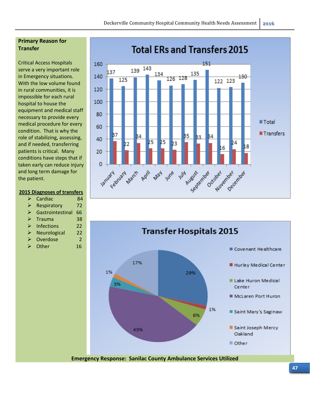## **Primary Reason for Transfer**

Critical Access Hospitals serve a very important role in Emergency situations. With the low volume found in rural communities, it is impossible for each rural hospital to house the equipment and medical staff necessary to provide every medical procedure for every condition. That is why the role of stabilizing, assessing, and if needed, transferring patients is critical. Many conditions have steps that if taken early can reduce injury and long term damage for the patient.

#### **2015 Diagnoses of transfers**

|  | $\triangleright$ Cardiac | 84 |
|--|--------------------------|----|
|--|--------------------------|----|

- $\triangleright$  Respiratory 72
- $\triangleright$  Gastrointestinal 66
- $\triangleright$  Trauma 38
- $\triangleright$  Infections 22
- $\triangleright$  Neurological 22
- ▶ Overdose 2
- $\triangleright$  Other 16



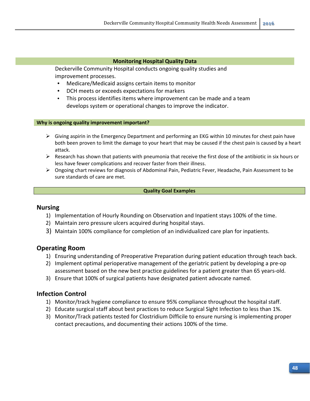#### **Monitoring Hospital Quality Data**

Deckerville Community Hospital conducts ongoing quality studies and improvement processes.

- Medicare/Medicaid assigns certain items to monitor
- DCH meets or exceeds expectations for markers
- This process identifies items where improvement can be made and a team develops system or operational changes to improve the indicator.

#### **Why is ongoing quality improvement important?**

- $\triangleright$  Giving aspirin in the Emergency Department and performing an EKG within 10 minutes for chest pain have both been proven to limit the damage to your heart that may be caused if the chest pain is caused by a heart attack.
- $\triangleright$  Research has shown that patients with pneumonia that receive the first dose of the antibiotic in six hours or less have fewer complications and recover faster from their illness.
- Ongoing chart reviews for diagnosis of Abdominal Pain, Pediatric Fever, Headache, Pain Assessment to be sure standards of care are met.

#### **Quality Goal Examples**

#### **Nursing**

- 1) Implementation of Hourly Rounding on Observation and Inpatient stays 100% of the time.
- 2) Maintain zero pressure ulcers acquired during hospital stays.
- 3) Maintain 100% compliance for completion of an individualized care plan for inpatients.

#### **Operating Room**

- 1) Ensuring understanding of Preoperative Preparation during patient education through teach back.
- 2) Implement optimal perioperative management of the geriatric patient by developing a pre-op assessment based on the new best practice guidelines for a patient greater than 65 years‐old.
- 3) Ensure that 100% of surgical patients have designated patient advocate named.

#### **Infection Control**

- 1) Monitor/track hygiene compliance to ensure 95% compliance throughout the hospital staff.
- 2) Educate surgical staff about best practices to reduce Surgical Sight Infection to less than 1%.
- 3) Monitor/Track patients tested for Clostridium Difficile to ensure nursing is implementing proper contact precautions, and documenting their actions 100% of the time.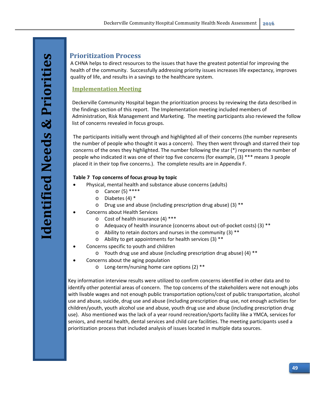# **Prioritization Process**

A CHNA helps to direct resources to the issues that have the greatest potential for improving the health of the community. Successfully addressing priority issues increases life expectancy, improves quality of life, and results in a savings to the healthcare system.

## **Implementation Meeting**

Deckerville Community Hospital began the prioritization process by reviewing the data described in the findings section of this report. The Implementation meeting included members of Administration, Risk Management and Marketing. The meeting participants also reviewed the follow list of concerns revealed in focus groups.

The participants initially went through and highlighted all of their concerns (the number represents the number of people who thought it was a concern). They then went through and starred their top concerns of the ones they highlighted. The number following the star (\*) represents the number of people who indicated it was one of their top five concerns (for example, (3) \*\*\* means 3 people placed it in their top five concerns.). The complete results are in Appendix F.

## **Table 7 Top concerns of focus group by topic**

- Physical, mental health and substance abuse concerns (adults)
	- o Cancer (5) \*\*\*\*
	- o Diabetes (4) \*
	- o Drug use and abuse (including prescription drug abuse) (3) \*\*
- Concerns about Health Services
	- o Cost of health insurance (4) \*\*\*
	- o Adequacy of health insurance (concerns about out‐of‐pocket costs) (3) \*\*
	- $\circ$  Ability to retain doctors and nurses in the community (3) \*\*
	- o Ability to get appointments for health services (3) \*\*
- Concerns specific to youth and children
	- o Youth drug use and abuse (including prescription drug abuse) (4) \*\*
- Concerns about the aging population
	- o Long‐term/nursing home care options (2) \*\*

Key information interview results were utilized to confirm concerns identified in other data and to identify other potential areas of concern. The top concerns of the stakeholders were not enough jobs with livable wages and not enough public transportation options/cost of public transportation, alcohol use and abuse, suicide, drug use and abuse (including prescription drug use, not enough activities for children/youth, youth alcohol use and abuse, youth drug use and abuse (including prescription drug use). Also mentioned was the lack of a year round recreation/sports facility like a YMCA, services for seniors, and mental health, dental services and child care facilities. The meeting participants used a prioritization process that included analysis of issues located in multiple data sources.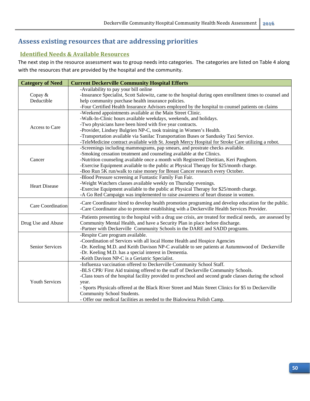# **Assess existing resources that are addressing priorities**

# **Identified Needs & Available Resources**

The next step in the resource assessment was to group needs into categories. The categories are listed on Table 4 along with the resources that are provided by the hospital and the community.

| <b>Category of Need</b> | <b>Current Deckerville Community Hospital Efforts</b>                                                                                                                                               |  |  |  |
|-------------------------|-----------------------------------------------------------------------------------------------------------------------------------------------------------------------------------------------------|--|--|--|
| Copay &                 | -Availability to pay your bill online<br>-Insurance Specialist, Scott Salowitz, came to the hospital during open enrollment times to counsel and                                                    |  |  |  |
| Deductible              | help community purchase health insurance policies.<br>-Four Certified Health Insurance Advisors employed by the hospital to counsel patients on claims                                              |  |  |  |
|                         | -Weekend appointments available at the Main Street Clinic.                                                                                                                                          |  |  |  |
|                         | -Walk-In-Clinic hours available weekdays, weekends, and holidays.                                                                                                                                   |  |  |  |
| Access to Care          | -Two physicians have been hired with five year contracts.                                                                                                                                           |  |  |  |
|                         | -Provider, Lindsey Bulgrien NP-C, took training in Women's Health.                                                                                                                                  |  |  |  |
|                         | -Transportation available via Sanilac Transportation Buses or Sandusky Taxi Service.                                                                                                                |  |  |  |
|                         | -TeleMedicine contract available with St. Joseph Mercy Hospital for Stroke Care utilizing a robot.                                                                                                  |  |  |  |
|                         | -Screenings including mammograms, pap smears, and prostrate checks available.                                                                                                                       |  |  |  |
|                         | -Smoking cessation treatment and counseling available at the Clinics.                                                                                                                               |  |  |  |
| Cancer                  | -Nutrition counseling available once a month with Registered Dietitian, Keri Pangborn.                                                                                                              |  |  |  |
|                         | -Exercise Equipment available to the public at Physical Therapy for \$25/month charge.                                                                                                              |  |  |  |
|                         | -Boo Run 5K run/walk to raise money for Breast Cancer research every October.                                                                                                                       |  |  |  |
|                         | -Blood Pressure screening at Funtastic Family Fun Fair.                                                                                                                                             |  |  |  |
| <b>Heart Disease</b>    | -Weight Watchers classes available weekly on Thursday evenings.                                                                                                                                     |  |  |  |
|                         | -Exercise Equipment available to the public at Physical Therapy for \$25/month charge.                                                                                                              |  |  |  |
|                         | -A Go Red Campaign was implemented to raise awareness of heart disease in women.                                                                                                                    |  |  |  |
| Care Coordination       | -Care Coordinator hired to develop health promotion programing and develop education for the public.<br>-Care Coordinator also to promote establishing with a Deckerville Health Services Provider. |  |  |  |
|                         | -Patients presenting to the hospital with a drug use crisis, are treated for medical needs, are assessed by                                                                                         |  |  |  |
| Drug Use and Abuse      | Community Mental Health, and have a Security Plan in place before discharge.                                                                                                                        |  |  |  |
|                         | -Partner with Deckerville Community Schools in the DARE and SADD programs.                                                                                                                          |  |  |  |
|                         | -Respite Care program available.                                                                                                                                                                    |  |  |  |
|                         | -Coordination of Services with all local Home Health and Hospice Agencies                                                                                                                           |  |  |  |
| Senior Services         | -Dr. Keeling M.D. and Keith Davison NP-C available to see patients at Autumnwood of Deckerville                                                                                                     |  |  |  |
|                         | -Dr. Keeling M.D. has a special interest in Dementia.                                                                                                                                               |  |  |  |
|                         | -Keith Davison NP-C is a Geriatric Specialist.                                                                                                                                                      |  |  |  |
|                         | -Influenza vaccination offered to Deckerville Community School Staff.                                                                                                                               |  |  |  |
|                         | -BLS CPR/First Aid training offered to the staff of Deckerville Community Schools.                                                                                                                  |  |  |  |
|                         | -Class tours of the hospital facility provided to preschool and second grade classes during the school                                                                                              |  |  |  |
| <b>Youth Services</b>   | year.                                                                                                                                                                                               |  |  |  |
|                         | - Sports Physicals offered at the Black River Street and Main Street Clinics for \$5 to Deckerville                                                                                                 |  |  |  |
|                         | Community School Students.                                                                                                                                                                          |  |  |  |
|                         | - Offer our medical facilities as needed to the Bialowieza Polish Camp.                                                                                                                             |  |  |  |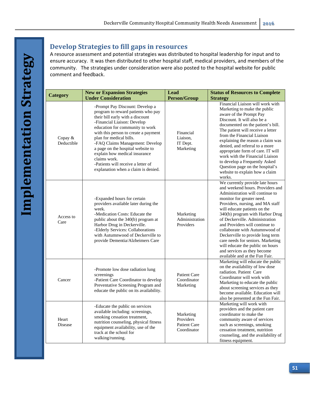# **Develop Strategies to fill gaps in resources**

A resource assessment and potential strategies was distributed to hospital leadership for input and to ensure accuracy. It was then distributed to other hospital staff, medical providers, and members of the community. The strategies under consideration were also posted to the hospital website for public comment and feedback.

| Category              | <b>New or Expansion Strategies</b><br><b>Under Consideration</b>                                                                                                                                                                                                                                                                                                                                                                                     | <b>Lead</b><br><b>Person/Group</b>                           | <b>Status of Resources to Complete</b><br><b>Strategy</b>                                                                                                                                                                                                                                                                                                                                                                                                                                                                      |  |  |
|-----------------------|------------------------------------------------------------------------------------------------------------------------------------------------------------------------------------------------------------------------------------------------------------------------------------------------------------------------------------------------------------------------------------------------------------------------------------------------------|--------------------------------------------------------------|--------------------------------------------------------------------------------------------------------------------------------------------------------------------------------------------------------------------------------------------------------------------------------------------------------------------------------------------------------------------------------------------------------------------------------------------------------------------------------------------------------------------------------|--|--|
| Copay &<br>Deductible | -Prompt Pay Discount: Develop a<br>program to reward patients who pay<br>their bill early with a discount<br>-Financial Liaison: Develop<br>education for community to work<br>with this person to create a payment<br>plan for medical bills.<br>-FAQ Claims Management: Develop<br>a page on the hospital website to<br>explain how medical insurance<br>claims work.<br>-Patients will receive a letter of<br>explanation when a claim is denied. | Financial<br>Liaison.<br>IT Dept.<br>Marketing               | Financial Liaison will work with<br>Marketing to make the public<br>aware of the Prompt Pay<br>Discount. It will also be a<br>documented on the patient's bill.<br>The patient will receive a letter<br>from the Financial Liaison<br>explaining the reason a claim was<br>denied, and referral to a more<br>appropriate form of care. IT will<br>work with the Financial Liaison<br>to develop a Frequently Asked<br>Question page on the hospital's<br>website to explain how a claim<br>works.                              |  |  |
| Access to<br>Care     | -Expanded hours for certain<br>providers available later during the<br>week.<br>-Medication Costs: Educate the<br>public about the 340(b) program at<br>Harbor Drug in Deckerville.<br>-Elderly Services: Collaborations<br>with Autumnwood of Deckerville to<br>provide Dementia/Alzheimers Care                                                                                                                                                    | Marketing<br>Administration<br>Providers                     | We currently provide late hours<br>and weekend hours. Providers and<br>Administration will continue to<br>monitor for greater need.<br>Providers, nursing, and MA staff<br>will educate patients on the<br>340(b) program with Harbor Drug<br>of Deckerville. Administration<br>and Providers will continue to<br>collaborate with Autumnwood of<br>Deckerville to provide long term<br>care needs for seniors. Marketing<br>will educate the public on hours<br>and services as they become<br>available and at the Fun Fair. |  |  |
| Cancer                | -Promote low dose radiation lung<br>screenings<br>-Patient Care Coordinator to develop<br>Preventative Screening Program and<br>educate the public on its availability.                                                                                                                                                                                                                                                                              | Patient Care<br>Coordinator<br>Marketing                     | Marketing will educate the public<br>on the availability of low dose<br>radiation. Patient Care<br>Coordinator will work with<br>Marketing to educate the public<br>about screening services as they<br>become available. Education will<br>also be presented at the Fun Fair.                                                                                                                                                                                                                                                 |  |  |
| Heart<br>Disease      | -Educate the public on services<br>available including: screenings,<br>smoking cessation treatment,<br>nutrition counseling, physical fitness<br>equipment availability, use of the<br>track at the school for<br>walking/running.                                                                                                                                                                                                                   | Marketing<br>Providers<br><b>Patient Care</b><br>Coordinator | Marketing will work with<br>providers and the patient care<br>coordinator to make the<br>community aware of services<br>such as screenings, smoking<br>cessation treatment, nutrition<br>counseling, and the availability of<br>fitness equipment.                                                                                                                                                                                                                                                                             |  |  |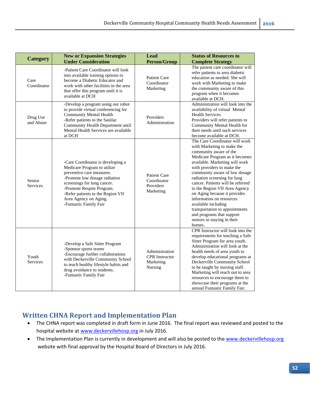| <b>Category</b>       | <b>New or Expansion Strategies</b><br><b>Under Consideration</b>                                                                                                                                                                                                                   | <b>Lead</b><br><b>Person/Group</b>                              | <b>Status of Resources to</b><br><b>Complete Strategy</b>                                                                                                                                                                                                                                                                                                                                                                                                                                                                  |
|-----------------------|------------------------------------------------------------------------------------------------------------------------------------------------------------------------------------------------------------------------------------------------------------------------------------|-----------------------------------------------------------------|----------------------------------------------------------------------------------------------------------------------------------------------------------------------------------------------------------------------------------------------------------------------------------------------------------------------------------------------------------------------------------------------------------------------------------------------------------------------------------------------------------------------------|
| Care<br>Coordinator   | -Patient Care Coordinator will look<br>into available training options to<br>become a Diabetic Educator and<br>work with other facilities in the area<br>that offer this program until it is<br>available at DCH                                                                   | Patient Care<br>Coordinator<br>Marketing                        | The patient care coordinator will<br>refer patients to area diabetic<br>education as needed. She will<br>work with Marketing to make<br>the community aware of this<br>program when it becomes<br>available at DCH.                                                                                                                                                                                                                                                                                                        |
| Drug Use<br>and Abuse | -Develop a program using our robot<br>to provide virtual conferencing for<br><b>Community Mental Health</b><br>-Refer patients to the Sanilac<br>Community Health Department until<br>Mental Health Services are available<br>at DCH                                               | Providers<br>Administration                                     | Administration will look into the<br>availability of virtual Mental<br>Health Services.<br>Providers will refer patients to<br>Community Mental Health for<br>their needs until such services<br>become available at DCH.                                                                                                                                                                                                                                                                                                  |
| Senior<br>Services    | -Care Coordinator is developing a<br>Medicare Program to utilize<br>preventive care measures.<br>-Promote low dosage radiation<br>screenings for lung cancer.<br>-Promote Respite Program.<br>-Refer patients to the Region VII<br>Area Agency on Aging.<br>-Funtastic Family Fair | Patient Care<br>Coordinator<br>Providers<br>Marketing           | The Care Coordinator will work<br>with Marketing to make the<br>community aware of the<br>Medicare Program as it becomes<br>available. Marketing will work<br>with providers to make the<br>community aware of low dosage<br>radiation screening for lung<br>cancer. Patients will be referred<br>to the Region VII Area Agency<br>on Aging because it provides<br>information on resources<br>available including<br>transportation to appointments<br>and programs that support<br>seniors in staying in their<br>homes. |
| Youth<br>Services     | -Develop a Safe Sitter Program<br>-Sponsor sports teams<br>-Encourage further collaborations<br>with Deckerville Community School<br>to teach healthy lifestyle habits and<br>drug avoidance to students.<br>-Funtastic Family Fair                                                | Administration<br><b>CPR</b> Instructor<br>Marketing<br>Nursing | CPR Instructor will look into the<br>requirements for teaching a Safe<br>Sitter Program for area youth.<br>Administration will look at the<br>health needs of area youth to<br>develop educational programs at<br>Deckerville Community School<br>to be taught by nursing staff.<br>Marketing will reach out to area<br>resources to encourage them to<br>showcase their programs at the<br>annual Funtastic Family Fair.                                                                                                  |

# **Written CHNA Report and Implementation Plan**

- The CHNA report was completed in draft form in June 2016. The final report was reviewed and posted to the hospital website at www.deckervillehosp.org in July 2016.
- The Implementation Plan is currently in development and will also be posted to the www.deckervillehosp.org website with final approval by the Hospital Board of Directors in July 2016.